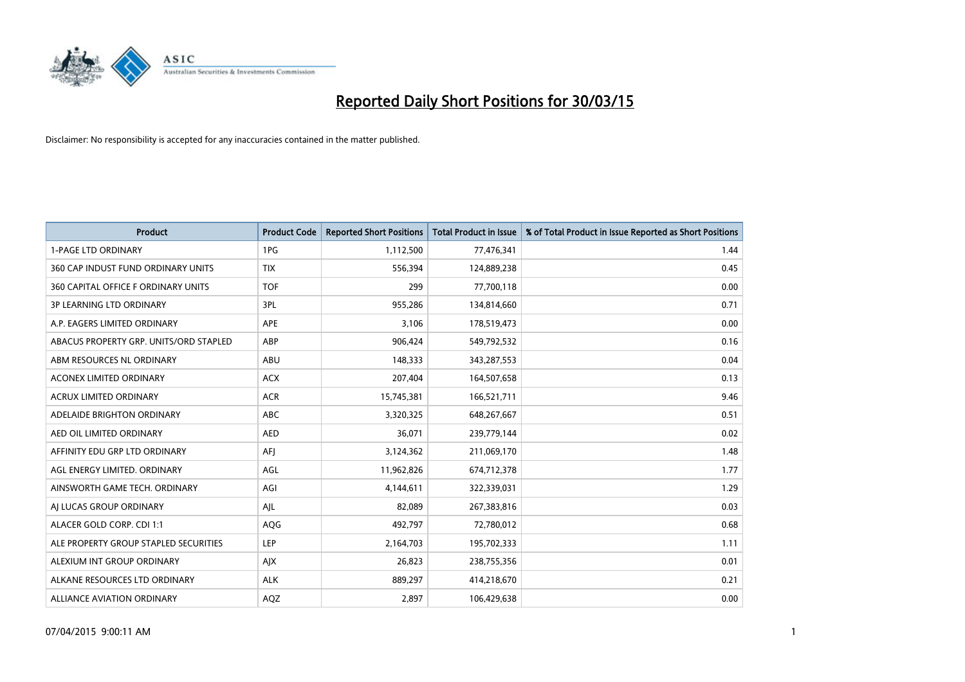

| <b>Product</b>                         | <b>Product Code</b> | <b>Reported Short Positions</b> | <b>Total Product in Issue</b> | % of Total Product in Issue Reported as Short Positions |
|----------------------------------------|---------------------|---------------------------------|-------------------------------|---------------------------------------------------------|
| <b>1-PAGE LTD ORDINARY</b>             | 1PG                 | 1,112,500                       | 77,476,341                    | 1.44                                                    |
| 360 CAP INDUST FUND ORDINARY UNITS     | <b>TIX</b>          | 556,394                         | 124,889,238                   | 0.45                                                    |
| 360 CAPITAL OFFICE F ORDINARY UNITS    | <b>TOF</b>          | 299                             | 77,700,118                    | 0.00                                                    |
| <b>3P LEARNING LTD ORDINARY</b>        | 3PL                 | 955,286                         | 134,814,660                   | 0.71                                                    |
| A.P. EAGERS LIMITED ORDINARY           | <b>APE</b>          | 3,106                           | 178,519,473                   | 0.00                                                    |
| ABACUS PROPERTY GRP. UNITS/ORD STAPLED | ABP                 | 906,424                         | 549,792,532                   | 0.16                                                    |
| ABM RESOURCES NL ORDINARY              | ABU                 | 148,333                         | 343,287,553                   | 0.04                                                    |
| ACONEX LIMITED ORDINARY                | <b>ACX</b>          | 207,404                         | 164,507,658                   | 0.13                                                    |
| <b>ACRUX LIMITED ORDINARY</b>          | <b>ACR</b>          | 15,745,381                      | 166,521,711                   | 9.46                                                    |
| ADELAIDE BRIGHTON ORDINARY             | <b>ABC</b>          | 3,320,325                       | 648,267,667                   | 0.51                                                    |
| AED OIL LIMITED ORDINARY               | <b>AED</b>          | 36,071                          | 239,779,144                   | 0.02                                                    |
| AFFINITY EDU GRP LTD ORDINARY          | AFJ                 | 3,124,362                       | 211,069,170                   | 1.48                                                    |
| AGL ENERGY LIMITED. ORDINARY           | AGL                 | 11,962,826                      | 674,712,378                   | 1.77                                                    |
| AINSWORTH GAME TECH. ORDINARY          | AGI                 | 4,144,611                       | 322,339,031                   | 1.29                                                    |
| AI LUCAS GROUP ORDINARY                | AJL                 | 82,089                          | 267,383,816                   | 0.03                                                    |
| ALACER GOLD CORP. CDI 1:1              | AQG                 | 492,797                         | 72,780,012                    | 0.68                                                    |
| ALE PROPERTY GROUP STAPLED SECURITIES  | LEP                 | 2,164,703                       | 195,702,333                   | 1.11                                                    |
| ALEXIUM INT GROUP ORDINARY             | AJX                 | 26,823                          | 238,755,356                   | 0.01                                                    |
| ALKANE RESOURCES LTD ORDINARY          | <b>ALK</b>          | 889,297                         | 414,218,670                   | 0.21                                                    |
| ALLIANCE AVIATION ORDINARY             | AQZ                 | 2,897                           | 106,429,638                   | 0.00                                                    |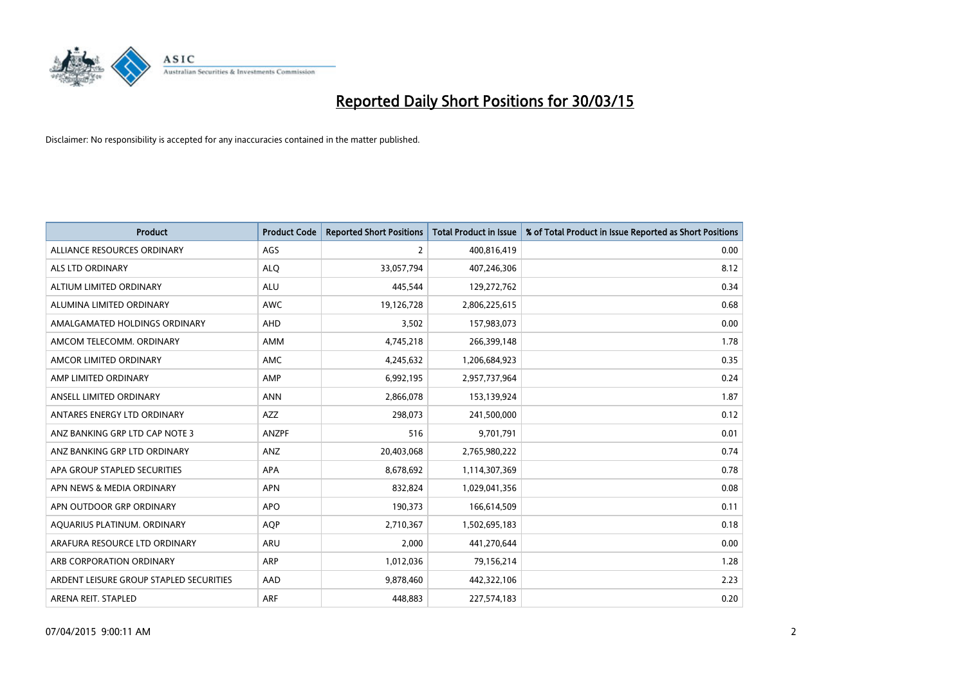

| <b>Product</b>                          | <b>Product Code</b> | <b>Reported Short Positions</b> | <b>Total Product in Issue</b> | % of Total Product in Issue Reported as Short Positions |
|-----------------------------------------|---------------------|---------------------------------|-------------------------------|---------------------------------------------------------|
| ALLIANCE RESOURCES ORDINARY             | AGS                 | $\overline{2}$                  | 400,816,419                   | 0.00                                                    |
| ALS LTD ORDINARY                        | <b>ALQ</b>          | 33,057,794                      | 407,246,306                   | 8.12                                                    |
| ALTIUM LIMITED ORDINARY                 | <b>ALU</b>          | 445,544                         | 129,272,762                   | 0.34                                                    |
| ALUMINA LIMITED ORDINARY                | <b>AWC</b>          | 19,126,728                      | 2,806,225,615                 | 0.68                                                    |
| AMALGAMATED HOLDINGS ORDINARY           | AHD                 | 3,502                           | 157,983,073                   | 0.00                                                    |
| AMCOM TELECOMM, ORDINARY                | AMM                 | 4,745,218                       | 266,399,148                   | 1.78                                                    |
| AMCOR LIMITED ORDINARY                  | <b>AMC</b>          | 4,245,632                       | 1,206,684,923                 | 0.35                                                    |
| AMP LIMITED ORDINARY                    | AMP                 | 6,992,195                       | 2,957,737,964                 | 0.24                                                    |
| ANSELL LIMITED ORDINARY                 | <b>ANN</b>          | 2,866,078                       | 153,139,924                   | 1.87                                                    |
| ANTARES ENERGY LTD ORDINARY             | AZZ                 | 298,073                         | 241,500,000                   | 0.12                                                    |
| ANZ BANKING GRP LTD CAP NOTE 3          | <b>ANZPF</b>        | 516                             | 9,701,791                     | 0.01                                                    |
| ANZ BANKING GRP LTD ORDINARY            | ANZ                 | 20,403,068                      | 2,765,980,222                 | 0.74                                                    |
| APA GROUP STAPLED SECURITIES            | APA                 | 8,678,692                       | 1,114,307,369                 | 0.78                                                    |
| APN NEWS & MEDIA ORDINARY               | <b>APN</b>          | 832,824                         | 1,029,041,356                 | 0.08                                                    |
| APN OUTDOOR GRP ORDINARY                | <b>APO</b>          | 190,373                         | 166,614,509                   | 0.11                                                    |
| AQUARIUS PLATINUM. ORDINARY             | <b>AOP</b>          | 2,710,367                       | 1,502,695,183                 | 0.18                                                    |
| ARAFURA RESOURCE LTD ORDINARY           | ARU                 | 2,000                           | 441,270,644                   | 0.00                                                    |
| ARB CORPORATION ORDINARY                | ARP                 | 1,012,036                       | 79,156,214                    | 1.28                                                    |
| ARDENT LEISURE GROUP STAPLED SECURITIES | AAD                 | 9,878,460                       | 442,322,106                   | 2.23                                                    |
| ARENA REIT. STAPLED                     | <b>ARF</b>          | 448,883                         | 227,574,183                   | 0.20                                                    |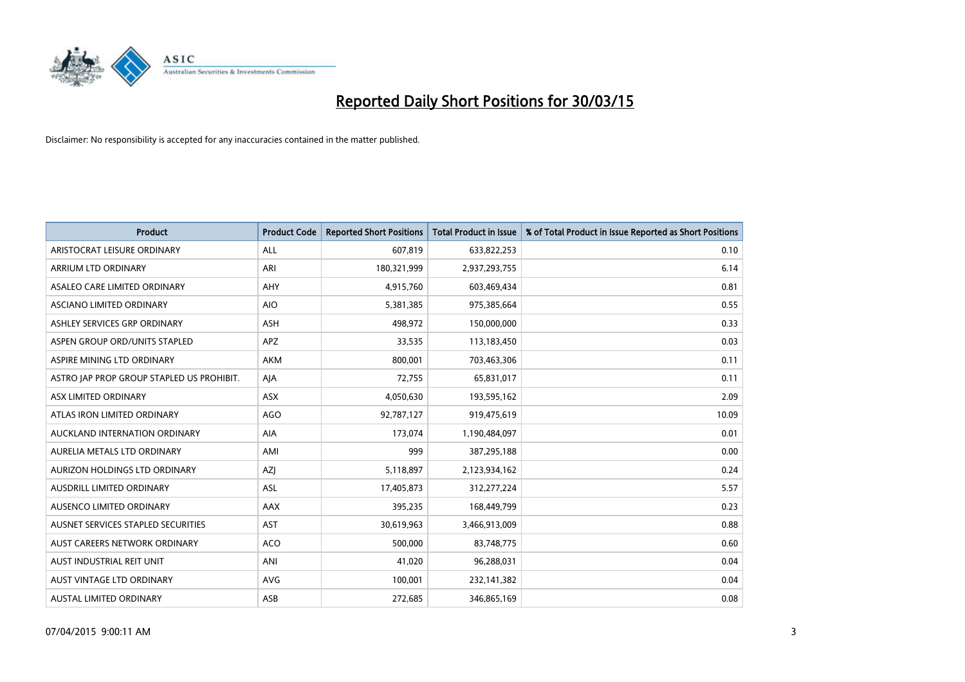

| <b>Product</b>                            | <b>Product Code</b> | <b>Reported Short Positions</b> | <b>Total Product in Issue</b> | % of Total Product in Issue Reported as Short Positions |
|-------------------------------------------|---------------------|---------------------------------|-------------------------------|---------------------------------------------------------|
| ARISTOCRAT LEISURE ORDINARY               | ALL                 | 607,819                         | 633,822,253                   | 0.10                                                    |
| ARRIUM LTD ORDINARY                       | ARI                 | 180,321,999                     | 2,937,293,755                 | 6.14                                                    |
| ASALEO CARE LIMITED ORDINARY              | AHY                 | 4,915,760                       | 603,469,434                   | 0.81                                                    |
| ASCIANO LIMITED ORDINARY                  | <b>AIO</b>          | 5,381,385                       | 975,385,664                   | 0.55                                                    |
| ASHLEY SERVICES GRP ORDINARY              | <b>ASH</b>          | 498,972                         | 150,000,000                   | 0.33                                                    |
| ASPEN GROUP ORD/UNITS STAPLED             | APZ                 | 33,535                          | 113,183,450                   | 0.03                                                    |
| ASPIRE MINING LTD ORDINARY                | AKM                 | 800,001                         | 703,463,306                   | 0.11                                                    |
| ASTRO JAP PROP GROUP STAPLED US PROHIBIT. | AJA                 | 72,755                          | 65,831,017                    | 0.11                                                    |
| ASX LIMITED ORDINARY                      | ASX                 | 4,050,630                       | 193,595,162                   | 2.09                                                    |
| ATLAS IRON LIMITED ORDINARY               | AGO                 | 92,787,127                      | 919,475,619                   | 10.09                                                   |
| AUCKLAND INTERNATION ORDINARY             | AIA                 | 173,074                         | 1,190,484,097                 | 0.01                                                    |
| AURELIA METALS LTD ORDINARY               | AMI                 | 999                             | 387,295,188                   | 0.00                                                    |
| AURIZON HOLDINGS LTD ORDINARY             | AZJ                 | 5,118,897                       | 2,123,934,162                 | 0.24                                                    |
| AUSDRILL LIMITED ORDINARY                 | ASL                 | 17,405,873                      | 312,277,224                   | 5.57                                                    |
| AUSENCO LIMITED ORDINARY                  | AAX                 | 395,235                         | 168,449,799                   | 0.23                                                    |
| AUSNET SERVICES STAPLED SECURITIES        | <b>AST</b>          | 30,619,963                      | 3,466,913,009                 | 0.88                                                    |
| AUST CAREERS NETWORK ORDINARY             | <b>ACO</b>          | 500,000                         | 83,748,775                    | 0.60                                                    |
| AUST INDUSTRIAL REIT UNIT                 | ANI                 | 41,020                          | 96,288,031                    | 0.04                                                    |
| AUST VINTAGE LTD ORDINARY                 | <b>AVG</b>          | 100,001                         | 232,141,382                   | 0.04                                                    |
| <b>AUSTAL LIMITED ORDINARY</b>            | ASB                 | 272,685                         | 346,865,169                   | 0.08                                                    |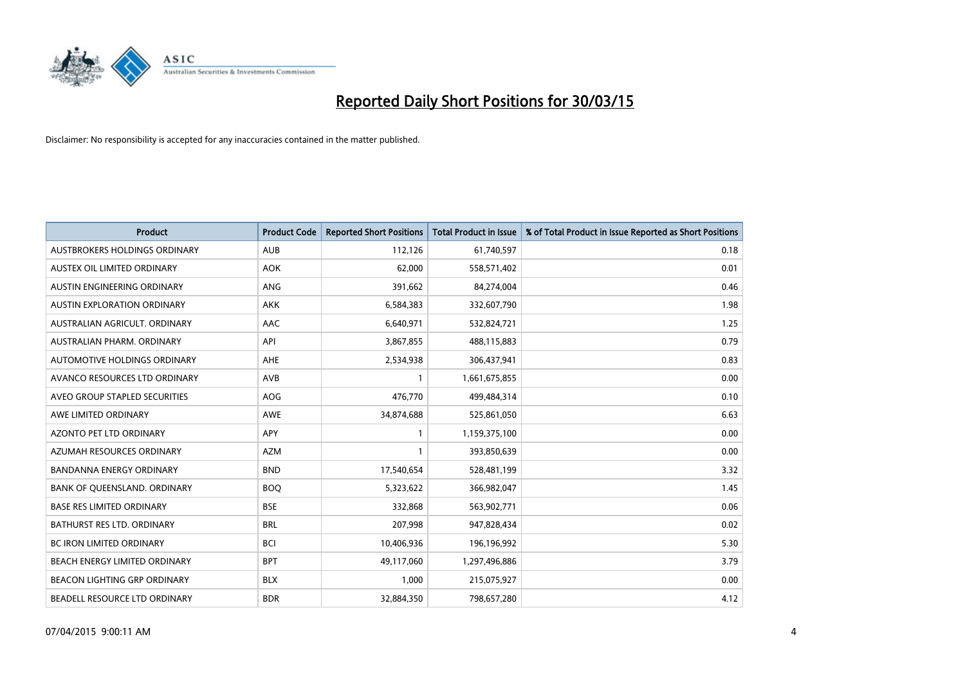

| <b>Product</b>                      | <b>Product Code</b> | <b>Reported Short Positions</b> | <b>Total Product in Issue</b> | % of Total Product in Issue Reported as Short Positions |
|-------------------------------------|---------------------|---------------------------------|-------------------------------|---------------------------------------------------------|
| AUSTBROKERS HOLDINGS ORDINARY       | <b>AUB</b>          | 112,126                         | 61,740,597                    | 0.18                                                    |
| AUSTEX OIL LIMITED ORDINARY         | <b>AOK</b>          | 62,000                          | 558,571,402                   | 0.01                                                    |
| AUSTIN ENGINEERING ORDINARY         | ANG                 | 391,662                         | 84,274,004                    | 0.46                                                    |
| <b>AUSTIN EXPLORATION ORDINARY</b>  | <b>AKK</b>          | 6,584,383                       | 332,607,790                   | 1.98                                                    |
| AUSTRALIAN AGRICULT, ORDINARY       | AAC                 | 6,640,971                       | 532,824,721                   | 1.25                                                    |
| AUSTRALIAN PHARM, ORDINARY          | API                 | 3,867,855                       | 488,115,883                   | 0.79                                                    |
| AUTOMOTIVE HOLDINGS ORDINARY        | AHE                 | 2,534,938                       | 306,437,941                   | 0.83                                                    |
| AVANCO RESOURCES LTD ORDINARY       | AVB                 | 1                               | 1,661,675,855                 | 0.00                                                    |
| AVEO GROUP STAPLED SECURITIES       | <b>AOG</b>          | 476,770                         | 499,484,314                   | 0.10                                                    |
| AWE LIMITED ORDINARY                | AWE                 | 34,874,688                      | 525,861,050                   | 6.63                                                    |
| AZONTO PET LTD ORDINARY             | APY                 | 1                               | 1,159,375,100                 | 0.00                                                    |
| AZUMAH RESOURCES ORDINARY           | <b>AZM</b>          | 1                               | 393,850,639                   | 0.00                                                    |
| <b>BANDANNA ENERGY ORDINARY</b>     | <b>BND</b>          | 17,540,654                      | 528,481,199                   | 3.32                                                    |
| BANK OF QUEENSLAND. ORDINARY        | <b>BOO</b>          | 5,323,622                       | 366,982,047                   | 1.45                                                    |
| <b>BASE RES LIMITED ORDINARY</b>    | <b>BSE</b>          | 332,868                         | 563,902,771                   | 0.06                                                    |
| BATHURST RES LTD. ORDINARY          | <b>BRL</b>          | 207,998                         | 947,828,434                   | 0.02                                                    |
| BC IRON LIMITED ORDINARY            | <b>BCI</b>          | 10,406,936                      | 196,196,992                   | 5.30                                                    |
| BEACH ENERGY LIMITED ORDINARY       | <b>BPT</b>          | 49,117,060                      | 1,297,496,886                 | 3.79                                                    |
| <b>BEACON LIGHTING GRP ORDINARY</b> | <b>BLX</b>          | 1,000                           | 215,075,927                   | 0.00                                                    |
| BEADELL RESOURCE LTD ORDINARY       | <b>BDR</b>          | 32,884,350                      | 798,657,280                   | 4.12                                                    |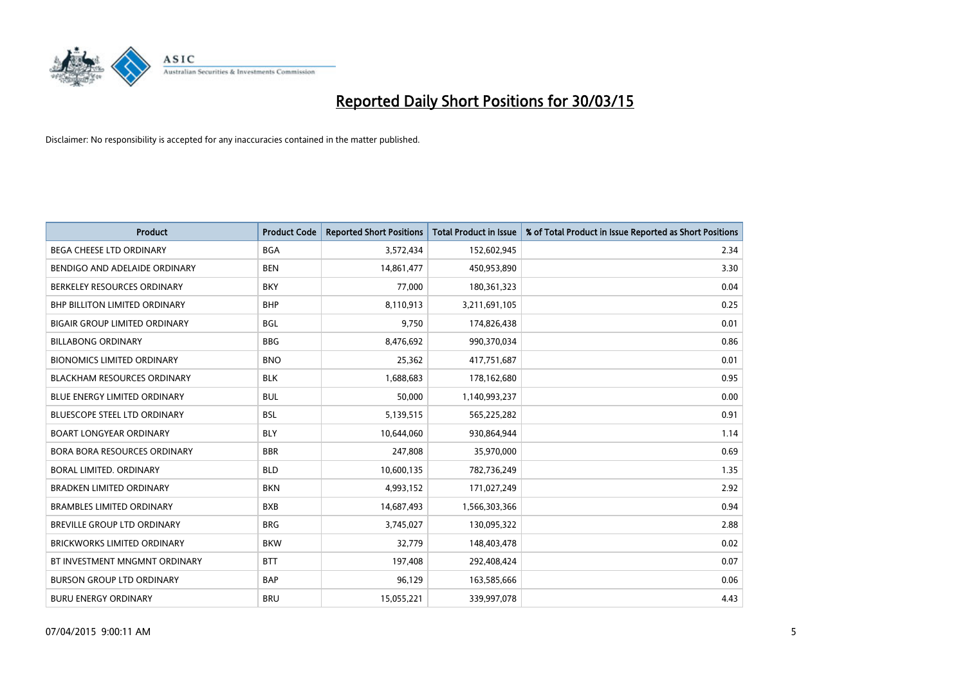

| <b>Product</b>                       | <b>Product Code</b> | <b>Reported Short Positions</b> | <b>Total Product in Issue</b> | % of Total Product in Issue Reported as Short Positions |
|--------------------------------------|---------------------|---------------------------------|-------------------------------|---------------------------------------------------------|
| <b>BEGA CHEESE LTD ORDINARY</b>      | <b>BGA</b>          | 3,572,434                       | 152,602,945                   | 2.34                                                    |
| BENDIGO AND ADELAIDE ORDINARY        | <b>BEN</b>          | 14,861,477                      | 450,953,890                   | 3.30                                                    |
| BERKELEY RESOURCES ORDINARY          | <b>BKY</b>          | 77,000                          | 180,361,323                   | 0.04                                                    |
| <b>BHP BILLITON LIMITED ORDINARY</b> | <b>BHP</b>          | 8,110,913                       | 3,211,691,105                 | 0.25                                                    |
| <b>BIGAIR GROUP LIMITED ORDINARY</b> | BGL                 | 9,750                           | 174,826,438                   | 0.01                                                    |
| <b>BILLABONG ORDINARY</b>            | <b>BBG</b>          | 8,476,692                       | 990,370,034                   | 0.86                                                    |
| <b>BIONOMICS LIMITED ORDINARY</b>    | <b>BNO</b>          | 25,362                          | 417,751,687                   | 0.01                                                    |
| <b>BLACKHAM RESOURCES ORDINARY</b>   | <b>BLK</b>          | 1,688,683                       | 178,162,680                   | 0.95                                                    |
| <b>BLUE ENERGY LIMITED ORDINARY</b>  | <b>BUL</b>          | 50,000                          | 1,140,993,237                 | 0.00                                                    |
| BLUESCOPE STEEL LTD ORDINARY         | <b>BSL</b>          | 5,139,515                       | 565,225,282                   | 0.91                                                    |
| <b>BOART LONGYEAR ORDINARY</b>       | BLY                 | 10,644,060                      | 930,864,944                   | 1.14                                                    |
| BORA BORA RESOURCES ORDINARY         | <b>BBR</b>          | 247,808                         | 35,970,000                    | 0.69                                                    |
| BORAL LIMITED, ORDINARY              | <b>BLD</b>          | 10,600,135                      | 782,736,249                   | 1.35                                                    |
| <b>BRADKEN LIMITED ORDINARY</b>      | <b>BKN</b>          | 4,993,152                       | 171,027,249                   | 2.92                                                    |
| <b>BRAMBLES LIMITED ORDINARY</b>     | <b>BXB</b>          | 14,687,493                      | 1,566,303,366                 | 0.94                                                    |
| BREVILLE GROUP LTD ORDINARY          | <b>BRG</b>          | 3,745,027                       | 130,095,322                   | 2.88                                                    |
| <b>BRICKWORKS LIMITED ORDINARY</b>   | <b>BKW</b>          | 32,779                          | 148,403,478                   | 0.02                                                    |
| BT INVESTMENT MNGMNT ORDINARY        | <b>BTT</b>          | 197,408                         | 292,408,424                   | 0.07                                                    |
| <b>BURSON GROUP LTD ORDINARY</b>     | <b>BAP</b>          | 96,129                          | 163,585,666                   | 0.06                                                    |
| <b>BURU ENERGY ORDINARY</b>          | <b>BRU</b>          | 15,055,221                      | 339,997,078                   | 4.43                                                    |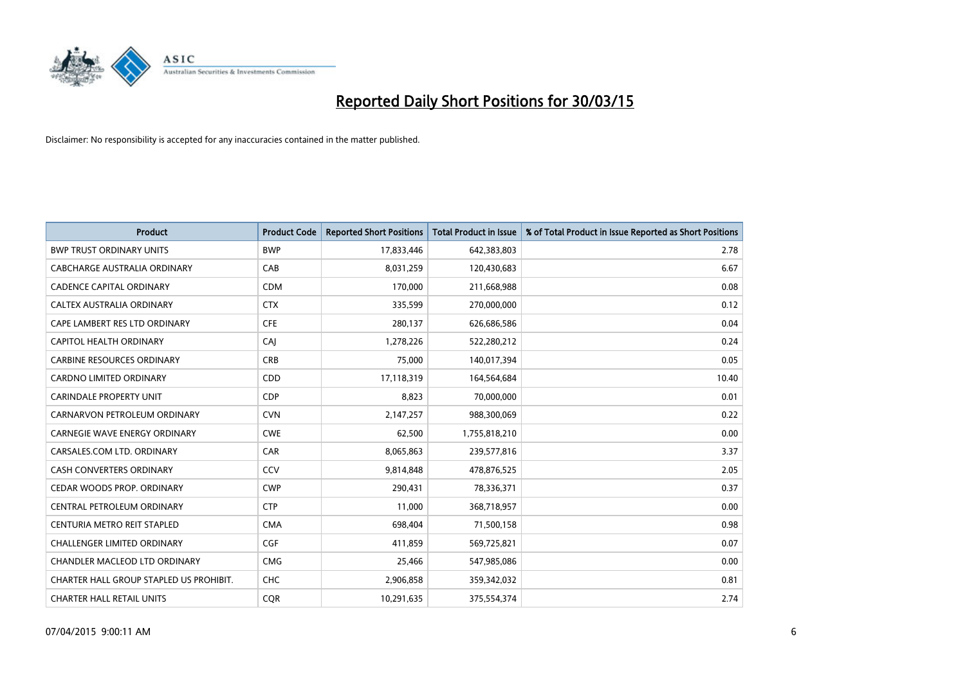

| <b>Product</b>                          | <b>Product Code</b> | <b>Reported Short Positions</b> | <b>Total Product in Issue</b> | % of Total Product in Issue Reported as Short Positions |
|-----------------------------------------|---------------------|---------------------------------|-------------------------------|---------------------------------------------------------|
| <b>BWP TRUST ORDINARY UNITS</b>         | <b>BWP</b>          | 17,833,446                      | 642,383,803                   | 2.78                                                    |
| CABCHARGE AUSTRALIA ORDINARY            | CAB                 | 8,031,259                       | 120,430,683                   | 6.67                                                    |
| <b>CADENCE CAPITAL ORDINARY</b>         | <b>CDM</b>          | 170,000                         | 211,668,988                   | 0.08                                                    |
| CALTEX AUSTRALIA ORDINARY               | <b>CTX</b>          | 335,599                         | 270,000,000                   | 0.12                                                    |
| CAPE LAMBERT RES LTD ORDINARY           | <b>CFE</b>          | 280,137                         | 626,686,586                   | 0.04                                                    |
| <b>CAPITOL HEALTH ORDINARY</b>          | CAJ                 | 1,278,226                       | 522,280,212                   | 0.24                                                    |
| <b>CARBINE RESOURCES ORDINARY</b>       | <b>CRB</b>          | 75,000                          | 140,017,394                   | 0.05                                                    |
| CARDNO LIMITED ORDINARY                 | CDD                 | 17,118,319                      | 164,564,684                   | 10.40                                                   |
| <b>CARINDALE PROPERTY UNIT</b>          | <b>CDP</b>          | 8,823                           | 70,000,000                    | 0.01                                                    |
| CARNARVON PETROLEUM ORDINARY            | <b>CVN</b>          | 2,147,257                       | 988,300,069                   | 0.22                                                    |
| CARNEGIE WAVE ENERGY ORDINARY           | <b>CWE</b>          | 62,500                          | 1,755,818,210                 | 0.00                                                    |
| CARSALES.COM LTD. ORDINARY              | <b>CAR</b>          | 8,065,863                       | 239,577,816                   | 3.37                                                    |
| CASH CONVERTERS ORDINARY                | CCV                 | 9,814,848                       | 478,876,525                   | 2.05                                                    |
| CEDAR WOODS PROP. ORDINARY              | <b>CWP</b>          | 290,431                         | 78,336,371                    | 0.37                                                    |
| CENTRAL PETROLEUM ORDINARY              | <b>CTP</b>          | 11,000                          | 368,718,957                   | 0.00                                                    |
| CENTURIA METRO REIT STAPLED             | <b>CMA</b>          | 698,404                         | 71,500,158                    | 0.98                                                    |
| CHALLENGER LIMITED ORDINARY             | <b>CGF</b>          | 411,859                         | 569,725,821                   | 0.07                                                    |
| CHANDLER MACLEOD LTD ORDINARY           | <b>CMG</b>          | 25,466                          | 547,985,086                   | 0.00                                                    |
| CHARTER HALL GROUP STAPLED US PROHIBIT. | <b>CHC</b>          | 2,906,858                       | 359,342,032                   | 0.81                                                    |
| <b>CHARTER HALL RETAIL UNITS</b>        | <b>COR</b>          | 10,291,635                      | 375,554,374                   | 2.74                                                    |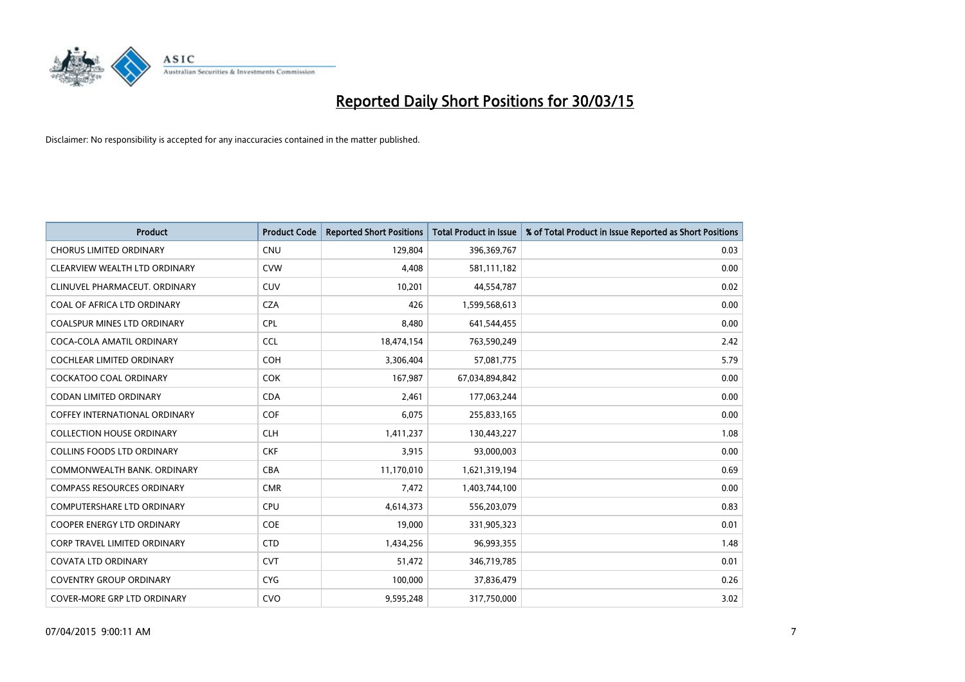

| <b>Product</b>                       | <b>Product Code</b> | <b>Reported Short Positions</b> | <b>Total Product in Issue</b> | % of Total Product in Issue Reported as Short Positions |
|--------------------------------------|---------------------|---------------------------------|-------------------------------|---------------------------------------------------------|
| <b>CHORUS LIMITED ORDINARY</b>       | <b>CNU</b>          | 129,804                         | 396,369,767                   | 0.03                                                    |
| CLEARVIEW WEALTH LTD ORDINARY        | <b>CVW</b>          | 4,408                           | 581,111,182                   | 0.00                                                    |
| CLINUVEL PHARMACEUT, ORDINARY        | <b>CUV</b>          | 10,201                          | 44,554,787                    | 0.02                                                    |
| COAL OF AFRICA LTD ORDINARY          | <b>CZA</b>          | 426                             | 1,599,568,613                 | 0.00                                                    |
| <b>COALSPUR MINES LTD ORDINARY</b>   | <b>CPL</b>          | 8,480                           | 641,544,455                   | 0.00                                                    |
| COCA-COLA AMATIL ORDINARY            | <b>CCL</b>          | 18,474,154                      | 763,590,249                   | 2.42                                                    |
| <b>COCHLEAR LIMITED ORDINARY</b>     | <b>COH</b>          | 3,306,404                       | 57,081,775                    | 5.79                                                    |
| COCKATOO COAL ORDINARY               | COK                 | 167,987                         | 67,034,894,842                | 0.00                                                    |
| <b>CODAN LIMITED ORDINARY</b>        | <b>CDA</b>          | 2,461                           | 177,063,244                   | 0.00                                                    |
| <b>COFFEY INTERNATIONAL ORDINARY</b> | <b>COF</b>          | 6,075                           | 255,833,165                   | 0.00                                                    |
| <b>COLLECTION HOUSE ORDINARY</b>     | <b>CLH</b>          | 1,411,237                       | 130,443,227                   | 1.08                                                    |
| <b>COLLINS FOODS LTD ORDINARY</b>    | <b>CKF</b>          | 3,915                           | 93,000,003                    | 0.00                                                    |
| COMMONWEALTH BANK. ORDINARY          | <b>CBA</b>          | 11,170,010                      | 1,621,319,194                 | 0.69                                                    |
| <b>COMPASS RESOURCES ORDINARY</b>    | <b>CMR</b>          | 7,472                           | 1,403,744,100                 | 0.00                                                    |
| <b>COMPUTERSHARE LTD ORDINARY</b>    | <b>CPU</b>          | 4,614,373                       | 556,203,079                   | 0.83                                                    |
| <b>COOPER ENERGY LTD ORDINARY</b>    | <b>COE</b>          | 19,000                          | 331,905,323                   | 0.01                                                    |
| CORP TRAVEL LIMITED ORDINARY         | <b>CTD</b>          | 1,434,256                       | 96,993,355                    | 1.48                                                    |
| <b>COVATA LTD ORDINARY</b>           | <b>CVT</b>          | 51,472                          | 346,719,785                   | 0.01                                                    |
| <b>COVENTRY GROUP ORDINARY</b>       | <b>CYG</b>          | 100,000                         | 37,836,479                    | 0.26                                                    |
| COVER-MORE GRP LTD ORDINARY          | <b>CVO</b>          | 9,595,248                       | 317,750,000                   | 3.02                                                    |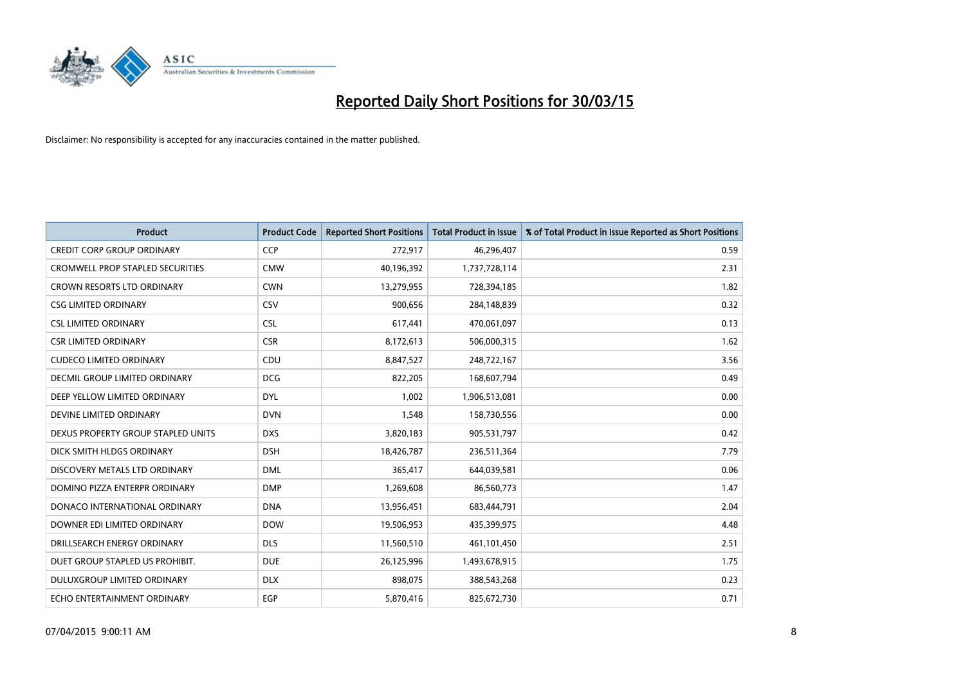

| <b>Product</b>                     | <b>Product Code</b> | <b>Reported Short Positions</b> | <b>Total Product in Issue</b> | % of Total Product in Issue Reported as Short Positions |
|------------------------------------|---------------------|---------------------------------|-------------------------------|---------------------------------------------------------|
| <b>CREDIT CORP GROUP ORDINARY</b>  | <b>CCP</b>          | 272,917                         | 46,296,407                    | 0.59                                                    |
| CROMWELL PROP STAPLED SECURITIES   | <b>CMW</b>          | 40,196,392                      | 1,737,728,114                 | 2.31                                                    |
| <b>CROWN RESORTS LTD ORDINARY</b>  | <b>CWN</b>          | 13,279,955                      | 728,394,185                   | 1.82                                                    |
| <b>CSG LIMITED ORDINARY</b>        | CSV                 | 900,656                         | 284,148,839                   | 0.32                                                    |
| <b>CSL LIMITED ORDINARY</b>        | <b>CSL</b>          | 617,441                         | 470,061,097                   | 0.13                                                    |
| <b>CSR LIMITED ORDINARY</b>        | <b>CSR</b>          | 8,172,613                       | 506,000,315                   | 1.62                                                    |
| <b>CUDECO LIMITED ORDINARY</b>     | CDU                 | 8,847,527                       | 248,722,167                   | 3.56                                                    |
| DECMIL GROUP LIMITED ORDINARY      | <b>DCG</b>          | 822,205                         | 168,607,794                   | 0.49                                                    |
| DEEP YELLOW LIMITED ORDINARY       | <b>DYL</b>          | 1,002                           | 1,906,513,081                 | 0.00                                                    |
| DEVINE LIMITED ORDINARY            | <b>DVN</b>          | 1,548                           | 158,730,556                   | 0.00                                                    |
| DEXUS PROPERTY GROUP STAPLED UNITS | <b>DXS</b>          | 3,820,183                       | 905,531,797                   | 0.42                                                    |
| DICK SMITH HLDGS ORDINARY          | <b>DSH</b>          | 18,426,787                      | 236,511,364                   | 7.79                                                    |
| DISCOVERY METALS LTD ORDINARY      | <b>DML</b>          | 365,417                         | 644,039,581                   | 0.06                                                    |
| DOMINO PIZZA ENTERPR ORDINARY      | <b>DMP</b>          | 1,269,608                       | 86,560,773                    | 1.47                                                    |
| DONACO INTERNATIONAL ORDINARY      | <b>DNA</b>          | 13,956,451                      | 683,444,791                   | 2.04                                                    |
| DOWNER EDI LIMITED ORDINARY        | <b>DOW</b>          | 19,506,953                      | 435,399,975                   | 4.48                                                    |
| DRILLSEARCH ENERGY ORDINARY        | <b>DLS</b>          | 11,560,510                      | 461,101,450                   | 2.51                                                    |
| DUET GROUP STAPLED US PROHIBIT.    | <b>DUE</b>          | 26,125,996                      | 1,493,678,915                 | 1.75                                                    |
| DULUXGROUP LIMITED ORDINARY        | <b>DLX</b>          | 898,075                         | 388,543,268                   | 0.23                                                    |
| ECHO ENTERTAINMENT ORDINARY        | <b>EGP</b>          | 5,870,416                       | 825,672,730                   | 0.71                                                    |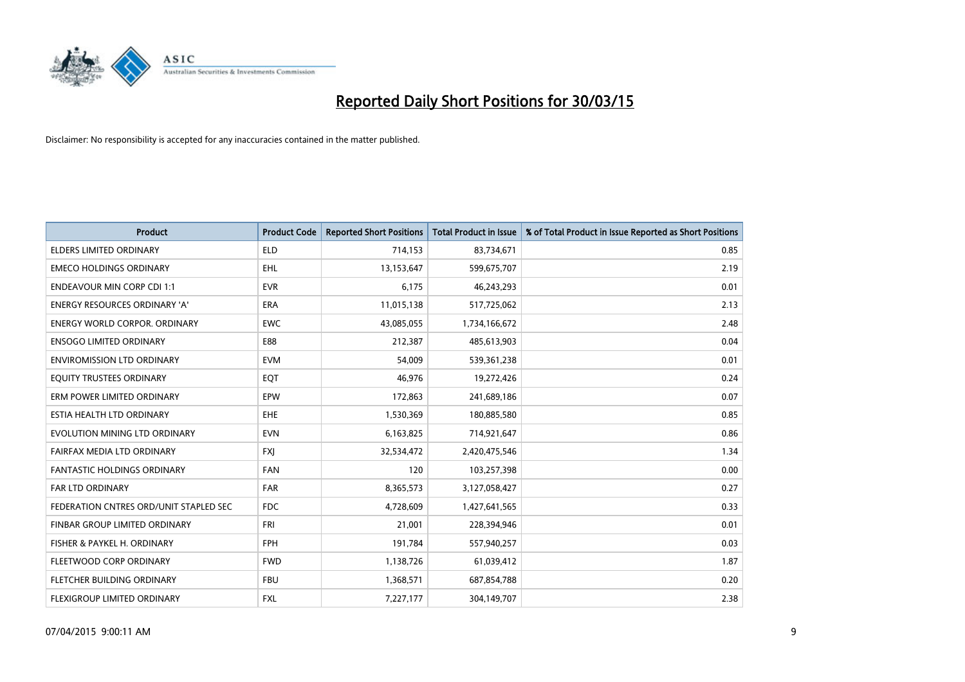

| <b>Product</b>                         | <b>Product Code</b> | <b>Reported Short Positions</b> | <b>Total Product in Issue</b> | % of Total Product in Issue Reported as Short Positions |
|----------------------------------------|---------------------|---------------------------------|-------------------------------|---------------------------------------------------------|
| <b>ELDERS LIMITED ORDINARY</b>         | <b>ELD</b>          | 714,153                         | 83,734,671                    | 0.85                                                    |
| <b>EMECO HOLDINGS ORDINARY</b>         | <b>EHL</b>          | 13,153,647                      | 599,675,707                   | 2.19                                                    |
| <b>ENDEAVOUR MIN CORP CDI 1:1</b>      | <b>EVR</b>          | 6,175                           | 46,243,293                    | 0.01                                                    |
| <b>ENERGY RESOURCES ORDINARY 'A'</b>   | <b>ERA</b>          | 11,015,138                      | 517,725,062                   | 2.13                                                    |
| <b>ENERGY WORLD CORPOR, ORDINARY</b>   | <b>EWC</b>          | 43,085,055                      | 1,734,166,672                 | 2.48                                                    |
| <b>ENSOGO LIMITED ORDINARY</b>         | E88                 | 212,387                         | 485,613,903                   | 0.04                                                    |
| <b>ENVIROMISSION LTD ORDINARY</b>      | <b>EVM</b>          | 54,009                          | 539,361,238                   | 0.01                                                    |
| EQUITY TRUSTEES ORDINARY               | EQT                 | 46,976                          | 19,272,426                    | 0.24                                                    |
| ERM POWER LIMITED ORDINARY             | EPW                 | 172,863                         | 241,689,186                   | 0.07                                                    |
| ESTIA HEALTH LTD ORDINARY              | EHE                 | 1,530,369                       | 180,885,580                   | 0.85                                                    |
| EVOLUTION MINING LTD ORDINARY          | <b>EVN</b>          | 6,163,825                       | 714,921,647                   | 0.86                                                    |
| FAIRFAX MEDIA LTD ORDINARY             | FXJ                 | 32,534,472                      | 2,420,475,546                 | 1.34                                                    |
| <b>FANTASTIC HOLDINGS ORDINARY</b>     | <b>FAN</b>          | 120                             | 103,257,398                   | 0.00                                                    |
| <b>FAR LTD ORDINARY</b>                | <b>FAR</b>          | 8,365,573                       | 3,127,058,427                 | 0.27                                                    |
| FEDERATION CNTRES ORD/UNIT STAPLED SEC | <b>FDC</b>          | 4,728,609                       | 1,427,641,565                 | 0.33                                                    |
| FINBAR GROUP LIMITED ORDINARY          | <b>FRI</b>          | 21,001                          | 228,394,946                   | 0.01                                                    |
| FISHER & PAYKEL H. ORDINARY            | <b>FPH</b>          | 191,784                         | 557,940,257                   | 0.03                                                    |
| FLEETWOOD CORP ORDINARY                | <b>FWD</b>          | 1,138,726                       | 61,039,412                    | 1.87                                                    |
| FLETCHER BUILDING ORDINARY             | <b>FBU</b>          | 1,368,571                       | 687,854,788                   | 0.20                                                    |
| FLEXIGROUP LIMITED ORDINARY            | FXL                 | 7,227,177                       | 304,149,707                   | 2.38                                                    |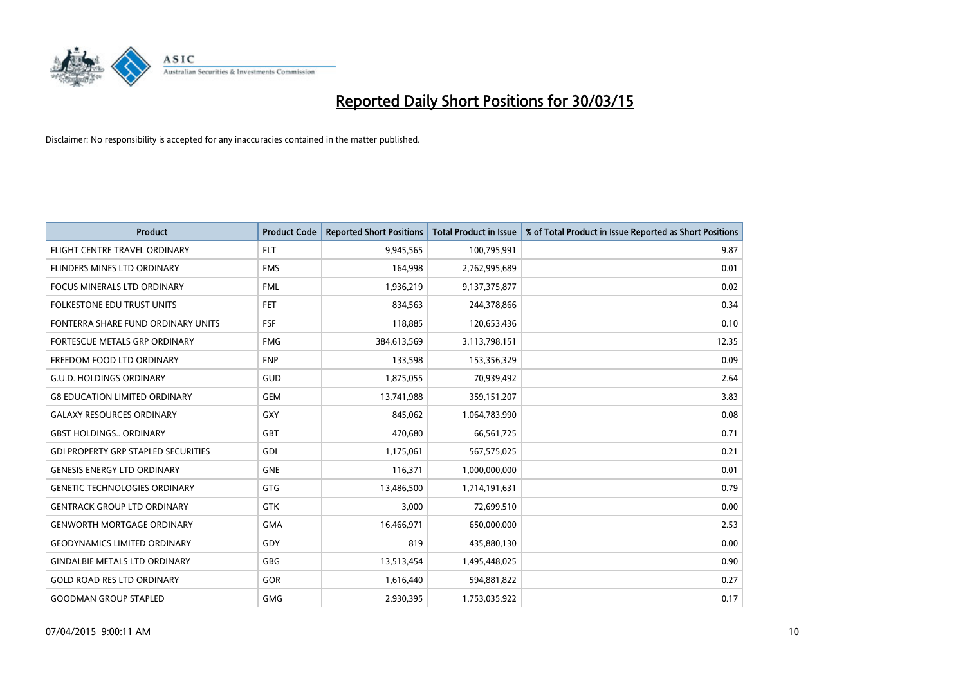

| <b>Product</b>                             | <b>Product Code</b> | <b>Reported Short Positions</b> | <b>Total Product in Issue</b> | % of Total Product in Issue Reported as Short Positions |
|--------------------------------------------|---------------------|---------------------------------|-------------------------------|---------------------------------------------------------|
| FLIGHT CENTRE TRAVEL ORDINARY              | <b>FLT</b>          | 9,945,565                       | 100,795,991                   | 9.87                                                    |
| FLINDERS MINES LTD ORDINARY                | <b>FMS</b>          | 164,998                         | 2,762,995,689                 | 0.01                                                    |
| <b>FOCUS MINERALS LTD ORDINARY</b>         | <b>FML</b>          | 1,936,219                       | 9,137,375,877                 | 0.02                                                    |
| FOLKESTONE EDU TRUST UNITS                 | FET.                | 834,563                         | 244,378,866                   | 0.34                                                    |
| FONTERRA SHARE FUND ORDINARY UNITS         | <b>FSF</b>          | 118,885                         | 120,653,436                   | 0.10                                                    |
| FORTESCUE METALS GRP ORDINARY              | <b>FMG</b>          | 384,613,569                     | 3,113,798,151                 | 12.35                                                   |
| FREEDOM FOOD LTD ORDINARY                  | <b>FNP</b>          | 133,598                         | 153,356,329                   | 0.09                                                    |
| <b>G.U.D. HOLDINGS ORDINARY</b>            | GUD                 | 1,875,055                       | 70,939,492                    | 2.64                                                    |
| <b>G8 EDUCATION LIMITED ORDINARY</b>       | <b>GEM</b>          | 13,741,988                      | 359,151,207                   | 3.83                                                    |
| <b>GALAXY RESOURCES ORDINARY</b>           | GXY                 | 845,062                         | 1,064,783,990                 | 0.08                                                    |
| <b>GBST HOLDINGS ORDINARY</b>              | GBT                 | 470,680                         | 66,561,725                    | 0.71                                                    |
| <b>GDI PROPERTY GRP STAPLED SECURITIES</b> | GDI                 | 1,175,061                       | 567,575,025                   | 0.21                                                    |
| <b>GENESIS ENERGY LTD ORDINARY</b>         | <b>GNE</b>          | 116,371                         | 1,000,000,000                 | 0.01                                                    |
| <b>GENETIC TECHNOLOGIES ORDINARY</b>       | GTG                 | 13,486,500                      | 1,714,191,631                 | 0.79                                                    |
| <b>GENTRACK GROUP LTD ORDINARY</b>         | <b>GTK</b>          | 3,000                           | 72,699,510                    | 0.00                                                    |
| <b>GENWORTH MORTGAGE ORDINARY</b>          | <b>GMA</b>          | 16,466,971                      | 650,000,000                   | 2.53                                                    |
| <b>GEODYNAMICS LIMITED ORDINARY</b>        | GDY                 | 819                             | 435,880,130                   | 0.00                                                    |
| <b>GINDALBIE METALS LTD ORDINARY</b>       | <b>GBG</b>          | 13,513,454                      | 1,495,448,025                 | 0.90                                                    |
| <b>GOLD ROAD RES LTD ORDINARY</b>          | GOR                 | 1,616,440                       | 594,881,822                   | 0.27                                                    |
| <b>GOODMAN GROUP STAPLED</b>               | <b>GMG</b>          | 2,930,395                       | 1,753,035,922                 | 0.17                                                    |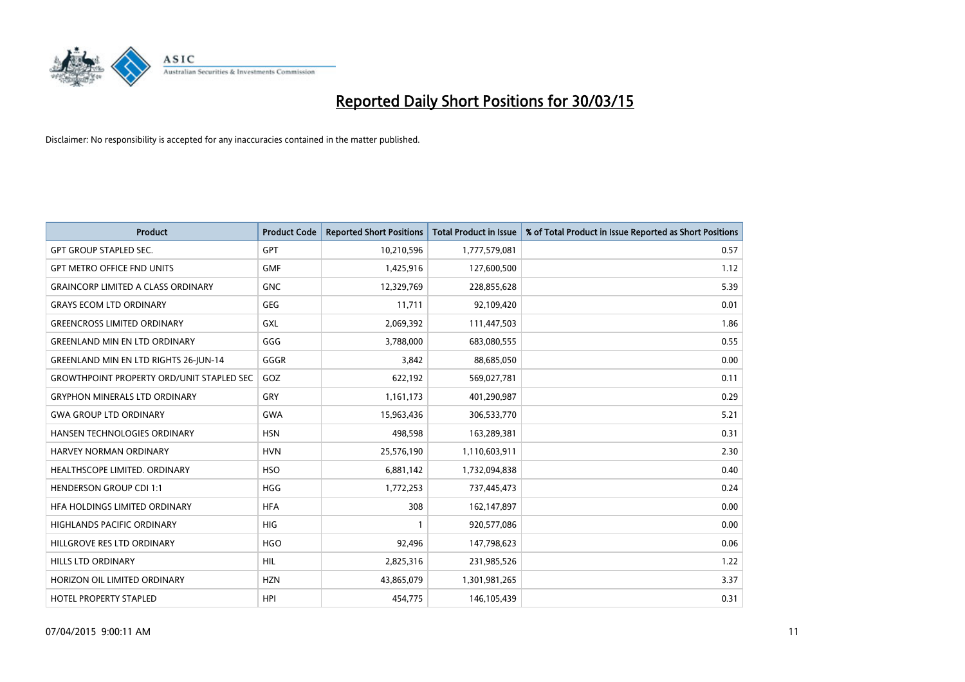

| <b>Product</b>                                   | <b>Product Code</b> | <b>Reported Short Positions</b> | <b>Total Product in Issue</b> | % of Total Product in Issue Reported as Short Positions |
|--------------------------------------------------|---------------------|---------------------------------|-------------------------------|---------------------------------------------------------|
| <b>GPT GROUP STAPLED SEC.</b>                    | GPT                 | 10,210,596                      | 1,777,579,081                 | 0.57                                                    |
| <b>GPT METRO OFFICE FND UNITS</b>                | <b>GMF</b>          | 1,425,916                       | 127,600,500                   | 1.12                                                    |
| <b>GRAINCORP LIMITED A CLASS ORDINARY</b>        | <b>GNC</b>          | 12,329,769                      | 228,855,628                   | 5.39                                                    |
| <b>GRAYS ECOM LTD ORDINARY</b>                   | <b>GEG</b>          | 11,711                          | 92,109,420                    | 0.01                                                    |
| <b>GREENCROSS LIMITED ORDINARY</b>               | GXL                 | 2,069,392                       | 111,447,503                   | 1.86                                                    |
| <b>GREENLAND MIN EN LTD ORDINARY</b>             | GGG                 | 3,788,000                       | 683,080,555                   | 0.55                                                    |
| GREENLAND MIN EN LTD RIGHTS 26-JUN-14            | GGGR                | 3,842                           | 88,685,050                    | 0.00                                                    |
| <b>GROWTHPOINT PROPERTY ORD/UNIT STAPLED SEC</b> | GOZ                 | 622,192                         | 569,027,781                   | 0.11                                                    |
| <b>GRYPHON MINERALS LTD ORDINARY</b>             | GRY                 | 1,161,173                       | 401,290,987                   | 0.29                                                    |
| <b>GWA GROUP LTD ORDINARY</b>                    | <b>GWA</b>          | 15,963,436                      | 306,533,770                   | 5.21                                                    |
| <b>HANSEN TECHNOLOGIES ORDINARY</b>              | <b>HSN</b>          | 498,598                         | 163,289,381                   | 0.31                                                    |
| HARVEY NORMAN ORDINARY                           | <b>HVN</b>          | 25,576,190                      | 1,110,603,911                 | 2.30                                                    |
| HEALTHSCOPE LIMITED. ORDINARY                    | <b>HSO</b>          | 6,881,142                       | 1,732,094,838                 | 0.40                                                    |
| <b>HENDERSON GROUP CDI 1:1</b>                   | <b>HGG</b>          | 1,772,253                       | 737,445,473                   | 0.24                                                    |
| HFA HOLDINGS LIMITED ORDINARY                    | <b>HFA</b>          | 308                             | 162,147,897                   | 0.00                                                    |
| <b>HIGHLANDS PACIFIC ORDINARY</b>                | <b>HIG</b>          |                                 | 920,577,086                   | 0.00                                                    |
| HILLGROVE RES LTD ORDINARY                       | <b>HGO</b>          | 92,496                          | 147,798,623                   | 0.06                                                    |
| HILLS LTD ORDINARY                               | <b>HIL</b>          | 2,825,316                       | 231,985,526                   | 1.22                                                    |
| HORIZON OIL LIMITED ORDINARY                     | <b>HZN</b>          | 43,865,079                      | 1,301,981,265                 | 3.37                                                    |
| <b>HOTEL PROPERTY STAPLED</b>                    | <b>HPI</b>          | 454,775                         | 146, 105, 439                 | 0.31                                                    |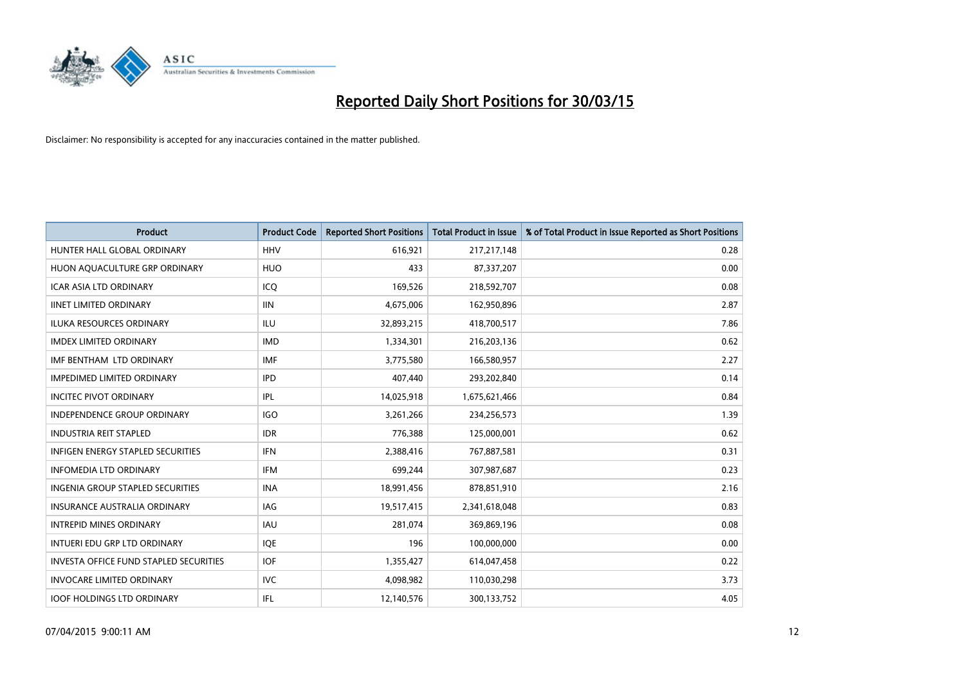

| <b>Product</b>                                | <b>Product Code</b> | <b>Reported Short Positions</b> | <b>Total Product in Issue</b> | % of Total Product in Issue Reported as Short Positions |
|-----------------------------------------------|---------------------|---------------------------------|-------------------------------|---------------------------------------------------------|
| HUNTER HALL GLOBAL ORDINARY                   | <b>HHV</b>          | 616,921                         | 217,217,148                   | 0.28                                                    |
| HUON AQUACULTURE GRP ORDINARY                 | <b>HUO</b>          | 433                             | 87,337,207                    | 0.00                                                    |
| <b>ICAR ASIA LTD ORDINARY</b>                 | ICQ                 | 169,526                         | 218,592,707                   | 0.08                                                    |
| <b>IINET LIMITED ORDINARY</b>                 | <b>IIN</b>          | 4,675,006                       | 162,950,896                   | 2.87                                                    |
| <b>ILUKA RESOURCES ORDINARY</b>               | ILU                 | 32,893,215                      | 418,700,517                   | 7.86                                                    |
| <b>IMDEX LIMITED ORDINARY</b>                 | <b>IMD</b>          | 1,334,301                       | 216,203,136                   | 0.62                                                    |
| IMF BENTHAM LTD ORDINARY                      | <b>IMF</b>          | 3,775,580                       | 166,580,957                   | 2.27                                                    |
| <b>IMPEDIMED LIMITED ORDINARY</b>             | <b>IPD</b>          | 407,440                         | 293,202,840                   | 0.14                                                    |
| <b>INCITEC PIVOT ORDINARY</b>                 | IPL                 | 14,025,918                      | 1,675,621,466                 | 0.84                                                    |
| <b>INDEPENDENCE GROUP ORDINARY</b>            | <b>IGO</b>          | 3,261,266                       | 234,256,573                   | 1.39                                                    |
| <b>INDUSTRIA REIT STAPLED</b>                 | <b>IDR</b>          | 776,388                         | 125,000,001                   | 0.62                                                    |
| <b>INFIGEN ENERGY STAPLED SECURITIES</b>      | <b>IFN</b>          | 2,388,416                       | 767,887,581                   | 0.31                                                    |
| <b>INFOMEDIA LTD ORDINARY</b>                 | <b>IFM</b>          | 699,244                         | 307,987,687                   | 0.23                                                    |
| <b>INGENIA GROUP STAPLED SECURITIES</b>       | <b>INA</b>          | 18,991,456                      | 878,851,910                   | 2.16                                                    |
| <b>INSURANCE AUSTRALIA ORDINARY</b>           | <b>IAG</b>          | 19,517,415                      | 2,341,618,048                 | 0.83                                                    |
| <b>INTREPID MINES ORDINARY</b>                | IAU                 | 281,074                         | 369,869,196                   | 0.08                                                    |
| INTUERI EDU GRP LTD ORDINARY                  | IQE                 | 196                             | 100,000,000                   | 0.00                                                    |
| <b>INVESTA OFFICE FUND STAPLED SECURITIES</b> | <b>IOF</b>          | 1,355,427                       | 614,047,458                   | 0.22                                                    |
| <b>INVOCARE LIMITED ORDINARY</b>              | <b>IVC</b>          | 4,098,982                       | 110,030,298                   | 3.73                                                    |
| <b>IOOF HOLDINGS LTD ORDINARY</b>             | IFL                 | 12,140,576                      | 300,133,752                   | 4.05                                                    |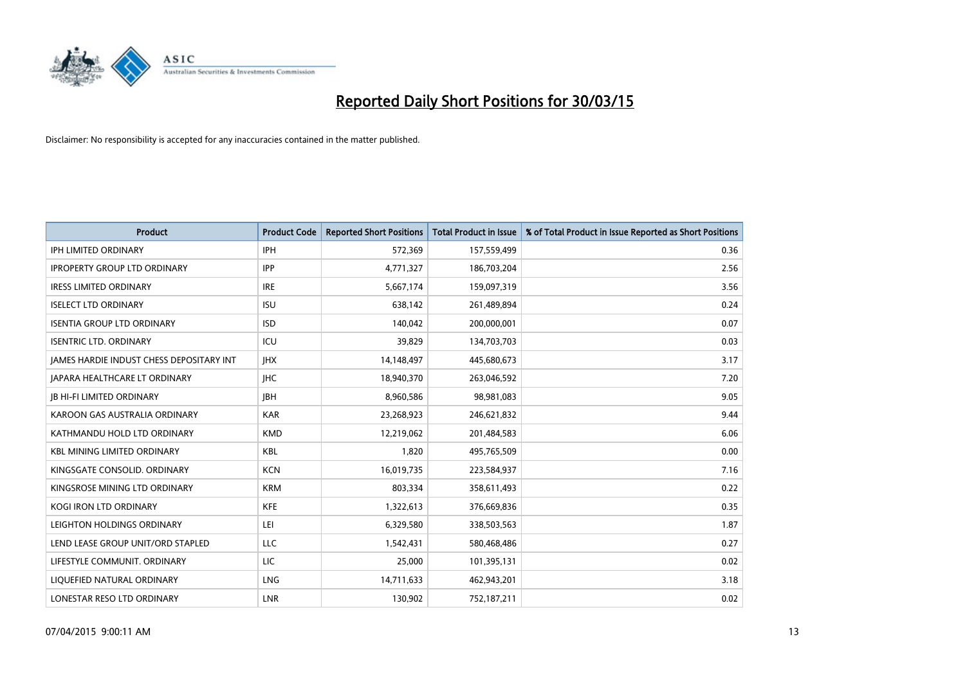

| <b>Product</b>                           | <b>Product Code</b> | <b>Reported Short Positions</b> | <b>Total Product in Issue</b> | % of Total Product in Issue Reported as Short Positions |
|------------------------------------------|---------------------|---------------------------------|-------------------------------|---------------------------------------------------------|
| <b>IPH LIMITED ORDINARY</b>              | <b>IPH</b>          | 572,369                         | 157,559,499                   | 0.36                                                    |
| <b>IPROPERTY GROUP LTD ORDINARY</b>      | <b>IPP</b>          | 4,771,327                       | 186,703,204                   | 2.56                                                    |
| <b>IRESS LIMITED ORDINARY</b>            | <b>IRE</b>          | 5,667,174                       | 159,097,319                   | 3.56                                                    |
| <b>ISELECT LTD ORDINARY</b>              | <b>ISU</b>          | 638,142                         | 261,489,894                   | 0.24                                                    |
| <b>ISENTIA GROUP LTD ORDINARY</b>        | <b>ISD</b>          | 140,042                         | 200,000,001                   | 0.07                                                    |
| <b>ISENTRIC LTD. ORDINARY</b>            | ICU                 | 39,829                          | 134,703,703                   | 0.03                                                    |
| JAMES HARDIE INDUST CHESS DEPOSITARY INT | <b>IHX</b>          | 14,148,497                      | 445,680,673                   | 3.17                                                    |
| JAPARA HEALTHCARE LT ORDINARY            | <b>IHC</b>          | 18,940,370                      | 263,046,592                   | 7.20                                                    |
| <b>JB HI-FI LIMITED ORDINARY</b>         | <b>IBH</b>          | 8,960,586                       | 98,981,083                    | 9.05                                                    |
| KAROON GAS AUSTRALIA ORDINARY            | <b>KAR</b>          | 23,268,923                      | 246,621,832                   | 9.44                                                    |
| KATHMANDU HOLD LTD ORDINARY              | <b>KMD</b>          | 12,219,062                      | 201,484,583                   | 6.06                                                    |
| <b>KBL MINING LIMITED ORDINARY</b>       | <b>KBL</b>          | 1,820                           | 495,765,509                   | 0.00                                                    |
| KINGSGATE CONSOLID. ORDINARY             | <b>KCN</b>          | 16,019,735                      | 223,584,937                   | 7.16                                                    |
| KINGSROSE MINING LTD ORDINARY            | <b>KRM</b>          | 803,334                         | 358,611,493                   | 0.22                                                    |
| <b>KOGI IRON LTD ORDINARY</b>            | <b>KFE</b>          | 1,322,613                       | 376,669,836                   | 0.35                                                    |
| LEIGHTON HOLDINGS ORDINARY               | LEI                 | 6,329,580                       | 338,503,563                   | 1.87                                                    |
| LEND LEASE GROUP UNIT/ORD STAPLED        | <b>LLC</b>          | 1,542,431                       | 580,468,486                   | 0.27                                                    |
| LIFESTYLE COMMUNIT, ORDINARY             | LIC                 | 25,000                          | 101,395,131                   | 0.02                                                    |
| LIQUEFIED NATURAL ORDINARY               | <b>LNG</b>          | 14,711,633                      | 462,943,201                   | 3.18                                                    |
| LONESTAR RESO LTD ORDINARY               | LNR                 | 130,902                         | 752,187,211                   | 0.02                                                    |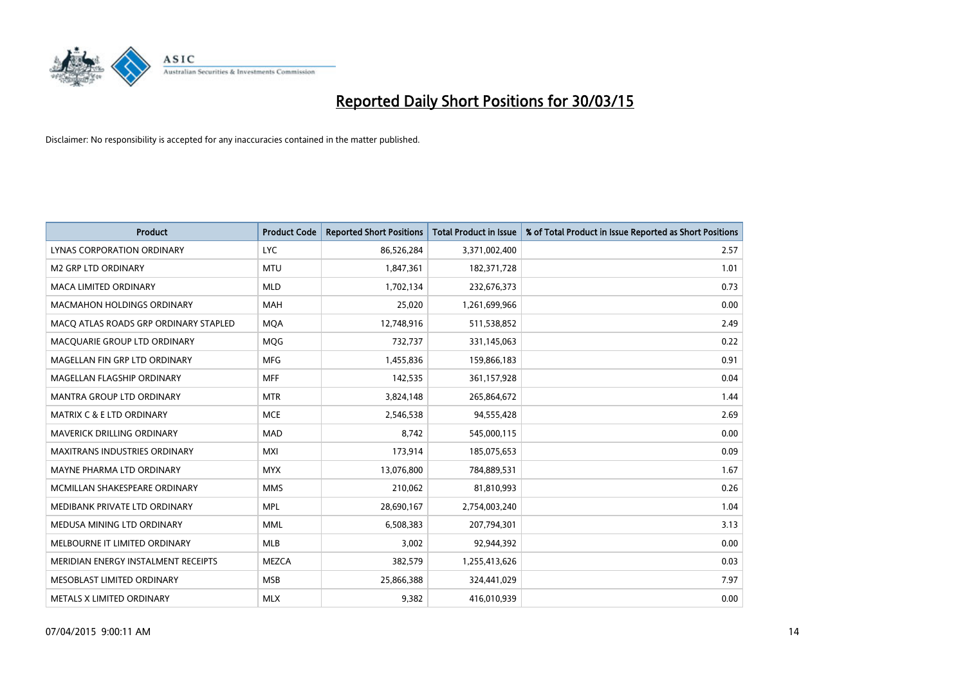

| <b>Product</b>                        | <b>Product Code</b> | <b>Reported Short Positions</b> | <b>Total Product in Issue</b> | % of Total Product in Issue Reported as Short Positions |
|---------------------------------------|---------------------|---------------------------------|-------------------------------|---------------------------------------------------------|
| LYNAS CORPORATION ORDINARY            | <b>LYC</b>          | 86,526,284                      | 3,371,002,400                 | 2.57                                                    |
| <b>M2 GRP LTD ORDINARY</b>            | <b>MTU</b>          | 1,847,361                       | 182,371,728                   | 1.01                                                    |
| <b>MACA LIMITED ORDINARY</b>          | <b>MLD</b>          | 1,702,134                       | 232,676,373                   | 0.73                                                    |
| <b>MACMAHON HOLDINGS ORDINARY</b>     | <b>MAH</b>          | 25,020                          | 1,261,699,966                 | 0.00                                                    |
| MACO ATLAS ROADS GRP ORDINARY STAPLED | <b>MOA</b>          | 12,748,916                      | 511,538,852                   | 2.49                                                    |
| MACQUARIE GROUP LTD ORDINARY          | <b>MQG</b>          | 732,737                         | 331,145,063                   | 0.22                                                    |
| MAGELLAN FIN GRP LTD ORDINARY         | <b>MFG</b>          | 1,455,836                       | 159,866,183                   | 0.91                                                    |
| MAGELLAN FLAGSHIP ORDINARY            | <b>MFF</b>          | 142,535                         | 361,157,928                   | 0.04                                                    |
| <b>MANTRA GROUP LTD ORDINARY</b>      | <b>MTR</b>          | 3,824,148                       | 265,864,672                   | 1.44                                                    |
| MATRIX C & E LTD ORDINARY             | <b>MCE</b>          | 2,546,538                       | 94,555,428                    | 2.69                                                    |
| MAVERICK DRILLING ORDINARY            | <b>MAD</b>          | 8,742                           | 545,000,115                   | 0.00                                                    |
| <b>MAXITRANS INDUSTRIES ORDINARY</b>  | <b>MXI</b>          | 173,914                         | 185,075,653                   | 0.09                                                    |
| MAYNE PHARMA LTD ORDINARY             | <b>MYX</b>          | 13,076,800                      | 784,889,531                   | 1.67                                                    |
| MCMILLAN SHAKESPEARE ORDINARY         | <b>MMS</b>          | 210,062                         | 81,810,993                    | 0.26                                                    |
| MEDIBANK PRIVATE LTD ORDINARY         | <b>MPL</b>          | 28,690,167                      | 2,754,003,240                 | 1.04                                                    |
| MEDUSA MINING LTD ORDINARY            | <b>MML</b>          | 6,508,383                       | 207,794,301                   | 3.13                                                    |
| MELBOURNE IT LIMITED ORDINARY         | <b>MLB</b>          | 3,002                           | 92,944,392                    | 0.00                                                    |
| MERIDIAN ENERGY INSTALMENT RECEIPTS   | <b>MEZCA</b>        | 382,579                         | 1,255,413,626                 | 0.03                                                    |
| MESOBLAST LIMITED ORDINARY            | <b>MSB</b>          | 25,866,388                      | 324,441,029                   | 7.97                                                    |
| METALS X LIMITED ORDINARY             | <b>MLX</b>          | 9,382                           | 416,010,939                   | 0.00                                                    |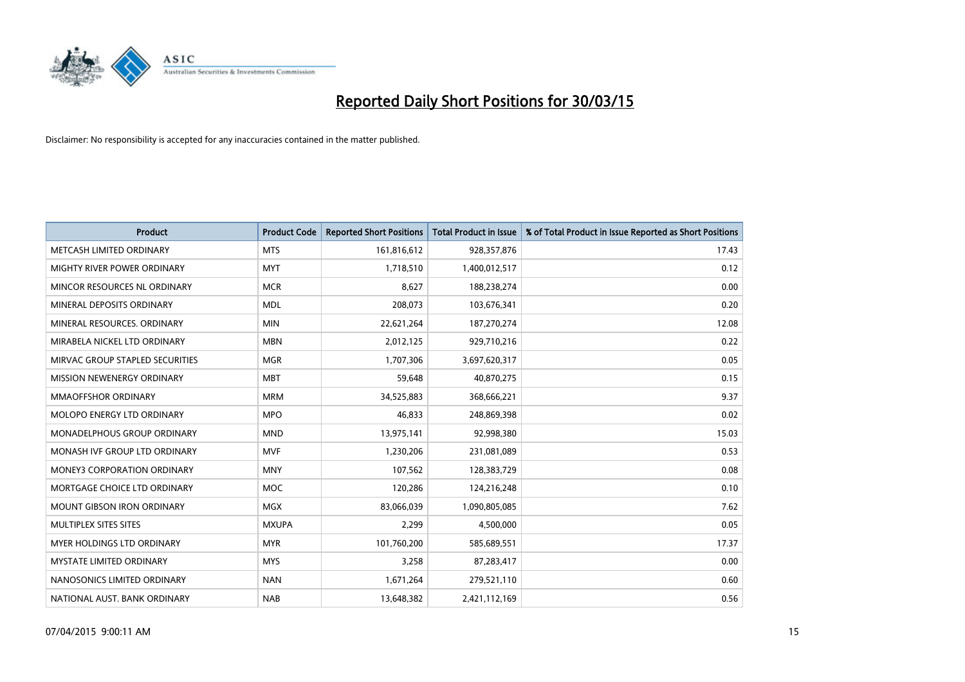

| <b>Product</b>                     | <b>Product Code</b> | <b>Reported Short Positions</b> | <b>Total Product in Issue</b> | % of Total Product in Issue Reported as Short Positions |
|------------------------------------|---------------------|---------------------------------|-------------------------------|---------------------------------------------------------|
| METCASH LIMITED ORDINARY           | <b>MTS</b>          | 161,816,612                     | 928,357,876                   | 17.43                                                   |
| MIGHTY RIVER POWER ORDINARY        | <b>MYT</b>          | 1,718,510                       | 1,400,012,517                 | 0.12                                                    |
| MINCOR RESOURCES NL ORDINARY       | <b>MCR</b>          | 8,627                           | 188,238,274                   | 0.00                                                    |
| MINERAL DEPOSITS ORDINARY          | <b>MDL</b>          | 208,073                         | 103,676,341                   | 0.20                                                    |
| MINERAL RESOURCES, ORDINARY        | <b>MIN</b>          | 22,621,264                      | 187,270,274                   | 12.08                                                   |
| MIRABELA NICKEL LTD ORDINARY       | <b>MBN</b>          | 2,012,125                       | 929,710,216                   | 0.22                                                    |
| MIRVAC GROUP STAPLED SECURITIES    | <b>MGR</b>          | 1,707,306                       | 3,697,620,317                 | 0.05                                                    |
| MISSION NEWENERGY ORDINARY         | <b>MBT</b>          | 59,648                          | 40,870,275                    | 0.15                                                    |
| <b>MMAOFFSHOR ORDINARY</b>         | <b>MRM</b>          | 34,525,883                      | 368,666,221                   | 9.37                                                    |
| MOLOPO ENERGY LTD ORDINARY         | <b>MPO</b>          | 46,833                          | 248,869,398                   | 0.02                                                    |
| MONADELPHOUS GROUP ORDINARY        | <b>MND</b>          | 13,975,141                      | 92,998,380                    | 15.03                                                   |
| MONASH IVF GROUP LTD ORDINARY      | <b>MVF</b>          | 1,230,206                       | 231,081,089                   | 0.53                                                    |
| <b>MONEY3 CORPORATION ORDINARY</b> | <b>MNY</b>          | 107,562                         | 128,383,729                   | 0.08                                                    |
| MORTGAGE CHOICE LTD ORDINARY       | <b>MOC</b>          | 120,286                         | 124,216,248                   | 0.10                                                    |
| <b>MOUNT GIBSON IRON ORDINARY</b>  | <b>MGX</b>          | 83,066,039                      | 1,090,805,085                 | 7.62                                                    |
| MULTIPLEX SITES SITES              | <b>MXUPA</b>        | 2,299                           | 4,500,000                     | 0.05                                                    |
| MYER HOLDINGS LTD ORDINARY         | <b>MYR</b>          | 101,760,200                     | 585,689,551                   | 17.37                                                   |
| <b>MYSTATE LIMITED ORDINARY</b>    | <b>MYS</b>          | 3,258                           | 87,283,417                    | 0.00                                                    |
| NANOSONICS LIMITED ORDINARY        | <b>NAN</b>          | 1,671,264                       | 279,521,110                   | 0.60                                                    |
| NATIONAL AUST. BANK ORDINARY       | <b>NAB</b>          | 13,648,382                      | 2,421,112,169                 | 0.56                                                    |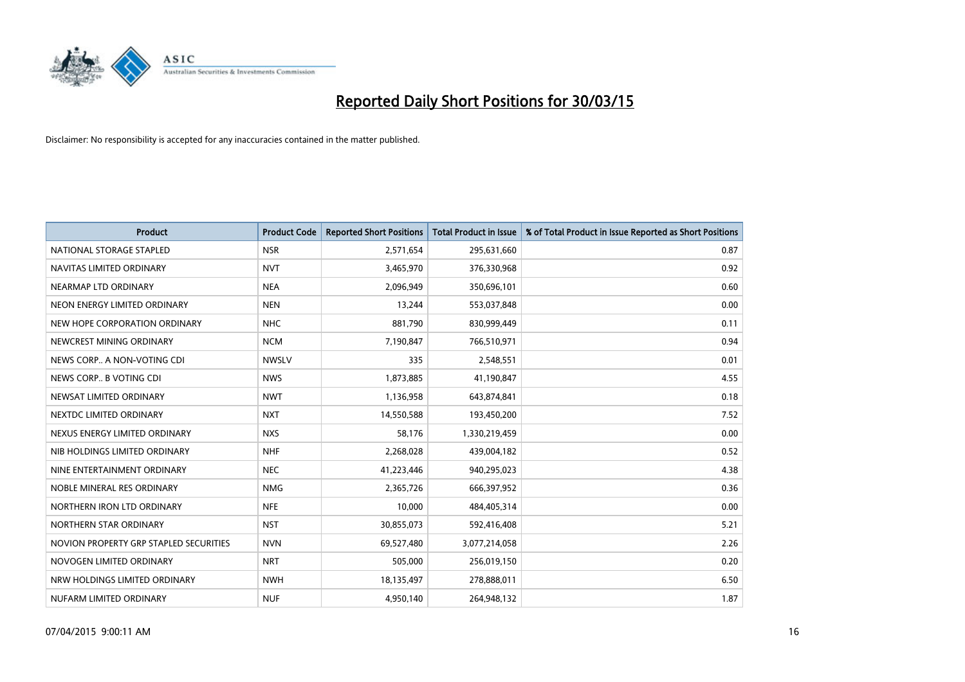

| <b>Product</b>                         | <b>Product Code</b> | <b>Reported Short Positions</b> | <b>Total Product in Issue</b> | % of Total Product in Issue Reported as Short Positions |
|----------------------------------------|---------------------|---------------------------------|-------------------------------|---------------------------------------------------------|
| NATIONAL STORAGE STAPLED               | <b>NSR</b>          | 2,571,654                       | 295,631,660                   | 0.87                                                    |
| NAVITAS LIMITED ORDINARY               | <b>NVT</b>          | 3,465,970                       | 376,330,968                   | 0.92                                                    |
| NEARMAP LTD ORDINARY                   | <b>NEA</b>          | 2,096,949                       | 350,696,101                   | 0.60                                                    |
| NEON ENERGY LIMITED ORDINARY           | <b>NEN</b>          | 13,244                          | 553,037,848                   | 0.00                                                    |
| NEW HOPE CORPORATION ORDINARY          | <b>NHC</b>          | 881,790                         | 830,999,449                   | 0.11                                                    |
| NEWCREST MINING ORDINARY               | <b>NCM</b>          | 7,190,847                       | 766,510,971                   | 0.94                                                    |
| NEWS CORP A NON-VOTING CDI             | <b>NWSLV</b>        | 335                             | 2,548,551                     | 0.01                                                    |
| NEWS CORP B VOTING CDI                 | <b>NWS</b>          | 1,873,885                       | 41,190,847                    | 4.55                                                    |
| NEWSAT LIMITED ORDINARY                | <b>NWT</b>          | 1,136,958                       | 643,874,841                   | 0.18                                                    |
| NEXTDC LIMITED ORDINARY                | <b>NXT</b>          | 14,550,588                      | 193,450,200                   | 7.52                                                    |
| NEXUS ENERGY LIMITED ORDINARY          | <b>NXS</b>          | 58,176                          | 1,330,219,459                 | 0.00                                                    |
| NIB HOLDINGS LIMITED ORDINARY          | <b>NHF</b>          | 2,268,028                       | 439,004,182                   | 0.52                                                    |
| NINE ENTERTAINMENT ORDINARY            | <b>NEC</b>          | 41,223,446                      | 940,295,023                   | 4.38                                                    |
| NOBLE MINERAL RES ORDINARY             | <b>NMG</b>          | 2,365,726                       | 666,397,952                   | 0.36                                                    |
| NORTHERN IRON LTD ORDINARY             | <b>NFE</b>          | 10,000                          | 484,405,314                   | 0.00                                                    |
| NORTHERN STAR ORDINARY                 | <b>NST</b>          | 30,855,073                      | 592,416,408                   | 5.21                                                    |
| NOVION PROPERTY GRP STAPLED SECURITIES | <b>NVN</b>          | 69,527,480                      | 3,077,214,058                 | 2.26                                                    |
| NOVOGEN LIMITED ORDINARY               | <b>NRT</b>          | 505,000                         | 256,019,150                   | 0.20                                                    |
| NRW HOLDINGS LIMITED ORDINARY          | <b>NWH</b>          | 18,135,497                      | 278,888,011                   | 6.50                                                    |
| NUFARM LIMITED ORDINARY                | <b>NUF</b>          | 4,950,140                       | 264,948,132                   | 1.87                                                    |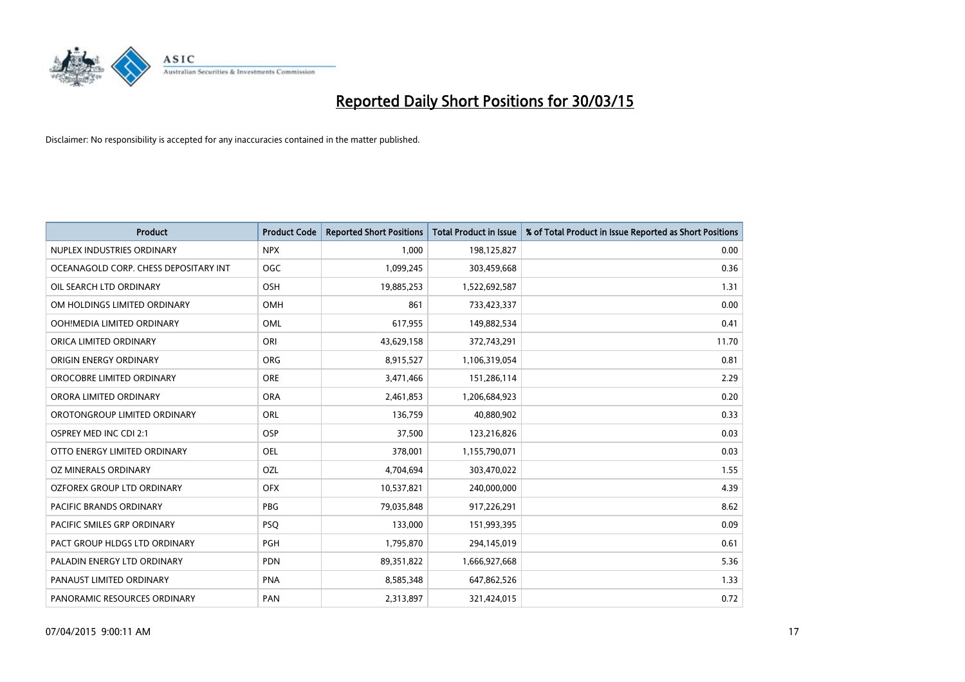

| <b>Product</b>                        | <b>Product Code</b> | <b>Reported Short Positions</b> | <b>Total Product in Issue</b> | % of Total Product in Issue Reported as Short Positions |
|---------------------------------------|---------------------|---------------------------------|-------------------------------|---------------------------------------------------------|
| NUPLEX INDUSTRIES ORDINARY            | <b>NPX</b>          | 1,000                           | 198,125,827                   | 0.00                                                    |
| OCEANAGOLD CORP. CHESS DEPOSITARY INT | <b>OGC</b>          | 1,099,245                       | 303,459,668                   | 0.36                                                    |
| OIL SEARCH LTD ORDINARY               | <b>OSH</b>          | 19,885,253                      | 1,522,692,587                 | 1.31                                                    |
| OM HOLDINGS LIMITED ORDINARY          | <b>OMH</b>          | 861                             | 733,423,337                   | 0.00                                                    |
| OOH!MEDIA LIMITED ORDINARY            | <b>OML</b>          | 617,955                         | 149,882,534                   | 0.41                                                    |
| ORICA LIMITED ORDINARY                | ORI                 | 43,629,158                      | 372,743,291                   | 11.70                                                   |
| ORIGIN ENERGY ORDINARY                | <b>ORG</b>          | 8,915,527                       | 1,106,319,054                 | 0.81                                                    |
| OROCOBRE LIMITED ORDINARY             | <b>ORE</b>          | 3,471,466                       | 151,286,114                   | 2.29                                                    |
| ORORA LIMITED ORDINARY                | <b>ORA</b>          | 2,461,853                       | 1,206,684,923                 | 0.20                                                    |
| OROTONGROUP LIMITED ORDINARY          | <b>ORL</b>          | 136,759                         | 40,880,902                    | 0.33                                                    |
| OSPREY MED INC CDI 2:1                | <b>OSP</b>          | 37,500                          | 123,216,826                   | 0.03                                                    |
| OTTO ENERGY LIMITED ORDINARY          | OEL                 | 378,001                         | 1,155,790,071                 | 0.03                                                    |
| OZ MINERALS ORDINARY                  | OZL                 | 4,704,694                       | 303,470,022                   | 1.55                                                    |
| OZFOREX GROUP LTD ORDINARY            | <b>OFX</b>          | 10,537,821                      | 240,000,000                   | 4.39                                                    |
| <b>PACIFIC BRANDS ORDINARY</b>        | <b>PBG</b>          | 79,035,848                      | 917,226,291                   | 8.62                                                    |
| PACIFIC SMILES GRP ORDINARY           | <b>PSQ</b>          | 133,000                         | 151,993,395                   | 0.09                                                    |
| PACT GROUP HLDGS LTD ORDINARY         | PGH                 | 1,795,870                       | 294,145,019                   | 0.61                                                    |
| PALADIN ENERGY LTD ORDINARY           | <b>PDN</b>          | 89,351,822                      | 1,666,927,668                 | 5.36                                                    |
| PANAUST LIMITED ORDINARY              | <b>PNA</b>          | 8,585,348                       | 647,862,526                   | 1.33                                                    |
| PANORAMIC RESOURCES ORDINARY          | PAN                 | 2,313,897                       | 321,424,015                   | 0.72                                                    |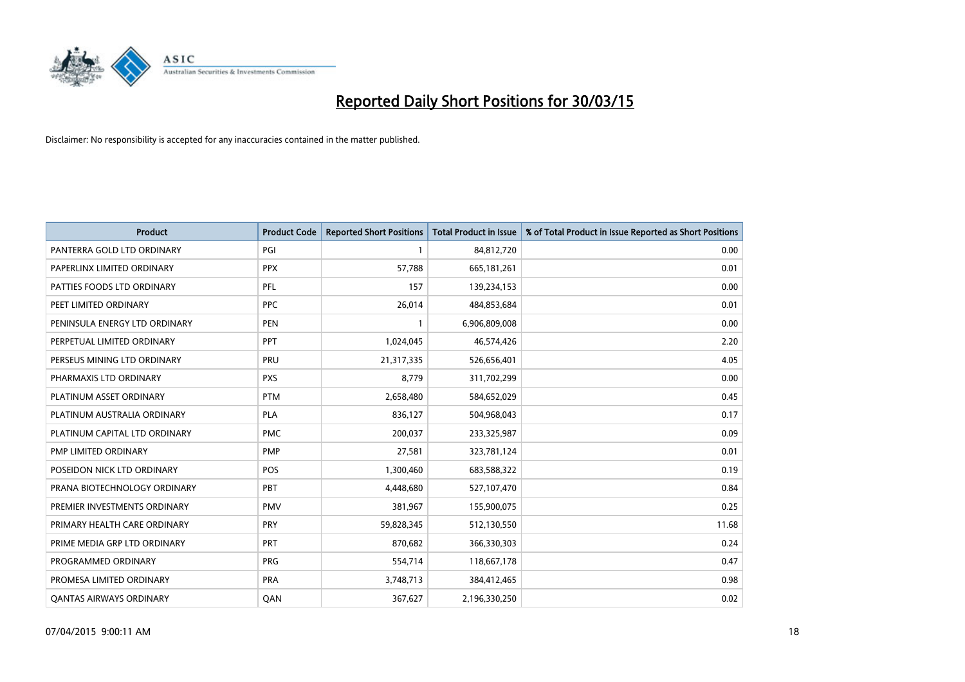

| <b>Product</b>                 | <b>Product Code</b> | <b>Reported Short Positions</b> | <b>Total Product in Issue</b> | % of Total Product in Issue Reported as Short Positions |
|--------------------------------|---------------------|---------------------------------|-------------------------------|---------------------------------------------------------|
| PANTERRA GOLD LTD ORDINARY     | PGI                 |                                 | 84,812,720                    | 0.00                                                    |
| PAPERLINX LIMITED ORDINARY     | <b>PPX</b>          | 57,788                          | 665, 181, 261                 | 0.01                                                    |
| PATTIES FOODS LTD ORDINARY     | PFL                 | 157                             | 139,234,153                   | 0.00                                                    |
| PEET LIMITED ORDINARY          | <b>PPC</b>          | 26,014                          | 484,853,684                   | 0.01                                                    |
| PENINSULA ENERGY LTD ORDINARY  | <b>PEN</b>          | $\mathbf{1}$                    | 6,906,809,008                 | 0.00                                                    |
| PERPETUAL LIMITED ORDINARY     | <b>PPT</b>          | 1,024,045                       | 46,574,426                    | 2.20                                                    |
| PERSEUS MINING LTD ORDINARY    | <b>PRU</b>          | 21,317,335                      | 526,656,401                   | 4.05                                                    |
| PHARMAXIS LTD ORDINARY         | <b>PXS</b>          | 8,779                           | 311,702,299                   | 0.00                                                    |
| PLATINUM ASSET ORDINARY        | <b>PTM</b>          | 2,658,480                       | 584,652,029                   | 0.45                                                    |
| PLATINUM AUSTRALIA ORDINARY    | <b>PLA</b>          | 836,127                         | 504,968,043                   | 0.17                                                    |
| PLATINUM CAPITAL LTD ORDINARY  | <b>PMC</b>          | 200,037                         | 233,325,987                   | 0.09                                                    |
| PMP LIMITED ORDINARY           | <b>PMP</b>          | 27,581                          | 323,781,124                   | 0.01                                                    |
| POSEIDON NICK LTD ORDINARY     | POS                 | 1,300,460                       | 683,588,322                   | 0.19                                                    |
| PRANA BIOTECHNOLOGY ORDINARY   | PBT                 | 4,448,680                       | 527,107,470                   | 0.84                                                    |
| PREMIER INVESTMENTS ORDINARY   | <b>PMV</b>          | 381,967                         | 155,900,075                   | 0.25                                                    |
| PRIMARY HEALTH CARE ORDINARY   | <b>PRY</b>          | 59,828,345                      | 512,130,550                   | 11.68                                                   |
| PRIME MEDIA GRP LTD ORDINARY   | <b>PRT</b>          | 870,682                         | 366,330,303                   | 0.24                                                    |
| PROGRAMMED ORDINARY            | <b>PRG</b>          | 554,714                         | 118,667,178                   | 0.47                                                    |
| PROMESA LIMITED ORDINARY       | <b>PRA</b>          | 3,748,713                       | 384,412,465                   | 0.98                                                    |
| <b>QANTAS AIRWAYS ORDINARY</b> | QAN                 | 367,627                         | 2,196,330,250                 | 0.02                                                    |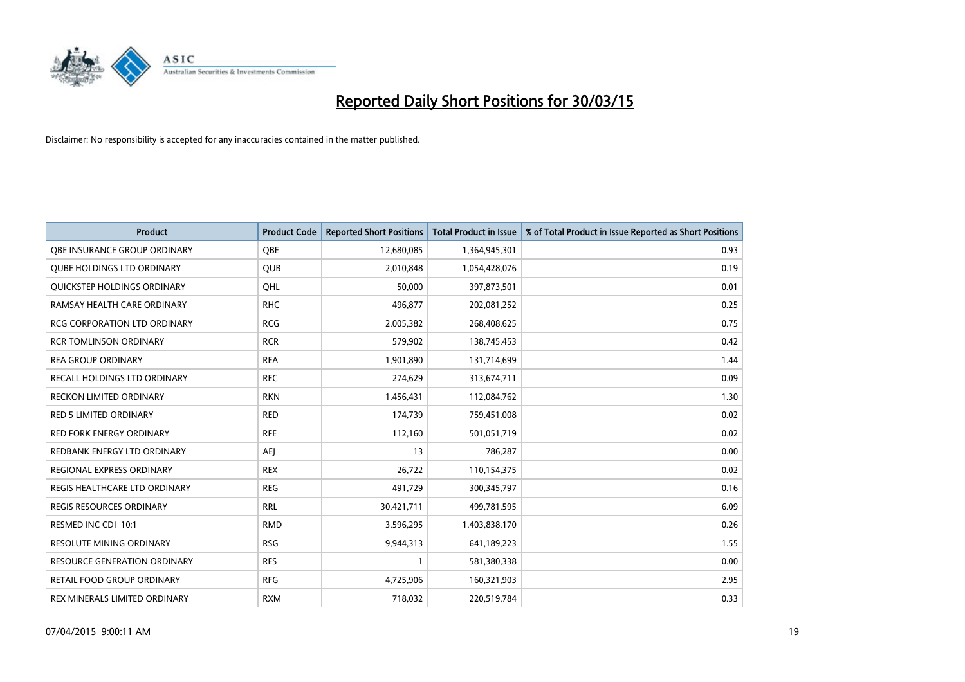

| Product                             | <b>Product Code</b> | <b>Reported Short Positions</b> | <b>Total Product in Issue</b> | % of Total Product in Issue Reported as Short Positions |
|-------------------------------------|---------------------|---------------------------------|-------------------------------|---------------------------------------------------------|
| OBE INSURANCE GROUP ORDINARY        | <b>OBE</b>          | 12,680,085                      | 1,364,945,301                 | 0.93                                                    |
| <b>QUBE HOLDINGS LTD ORDINARY</b>   | QUB                 | 2,010,848                       | 1,054,428,076                 | 0.19                                                    |
| QUICKSTEP HOLDINGS ORDINARY         | OHL                 | 50,000                          | 397,873,501                   | 0.01                                                    |
| RAMSAY HEALTH CARE ORDINARY         | <b>RHC</b>          | 496,877                         | 202,081,252                   | 0.25                                                    |
| <b>RCG CORPORATION LTD ORDINARY</b> | <b>RCG</b>          | 2,005,382                       | 268,408,625                   | 0.75                                                    |
| <b>RCR TOMLINSON ORDINARY</b>       | <b>RCR</b>          | 579,902                         | 138,745,453                   | 0.42                                                    |
| <b>REA GROUP ORDINARY</b>           | <b>REA</b>          | 1,901,890                       | 131,714,699                   | 1.44                                                    |
| RECALL HOLDINGS LTD ORDINARY        | <b>REC</b>          | 274,629                         | 313,674,711                   | 0.09                                                    |
| <b>RECKON LIMITED ORDINARY</b>      | <b>RKN</b>          | 1,456,431                       | 112,084,762                   | 1.30                                                    |
| <b>RED 5 LIMITED ORDINARY</b>       | <b>RED</b>          | 174,739                         | 759,451,008                   | 0.02                                                    |
| <b>RED FORK ENERGY ORDINARY</b>     | <b>RFE</b>          | 112,160                         | 501,051,719                   | 0.02                                                    |
| REDBANK ENERGY LTD ORDINARY         | <b>AEJ</b>          | 13                              | 786,287                       | 0.00                                                    |
| REGIONAL EXPRESS ORDINARY           | <b>REX</b>          | 26,722                          | 110,154,375                   | 0.02                                                    |
| REGIS HEALTHCARE LTD ORDINARY       | <b>REG</b>          | 491,729                         | 300,345,797                   | 0.16                                                    |
| <b>REGIS RESOURCES ORDINARY</b>     | <b>RRL</b>          | 30,421,711                      | 499,781,595                   | 6.09                                                    |
| RESMED INC CDI 10:1                 | <b>RMD</b>          | 3,596,295                       | 1,403,838,170                 | 0.26                                                    |
| RESOLUTE MINING ORDINARY            | <b>RSG</b>          | 9,944,313                       | 641,189,223                   | 1.55                                                    |
| RESOURCE GENERATION ORDINARY        | <b>RES</b>          | 1                               | 581,380,338                   | 0.00                                                    |
| <b>RETAIL FOOD GROUP ORDINARY</b>   | <b>RFG</b>          | 4,725,906                       | 160,321,903                   | 2.95                                                    |
| REX MINERALS LIMITED ORDINARY       | <b>RXM</b>          | 718,032                         | 220,519,784                   | 0.33                                                    |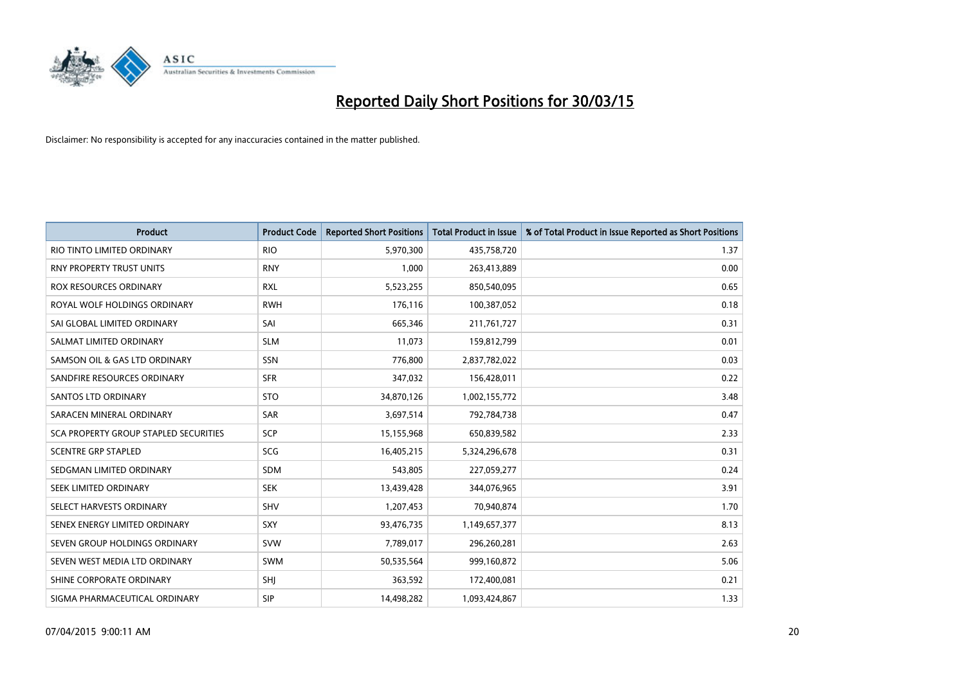

| <b>Product</b>                        | <b>Product Code</b> | <b>Reported Short Positions</b> | <b>Total Product in Issue</b> | % of Total Product in Issue Reported as Short Positions |
|---------------------------------------|---------------------|---------------------------------|-------------------------------|---------------------------------------------------------|
| RIO TINTO LIMITED ORDINARY            | <b>RIO</b>          | 5,970,300                       | 435,758,720                   | 1.37                                                    |
| RNY PROPERTY TRUST UNITS              | <b>RNY</b>          | 1,000                           | 263,413,889                   | 0.00                                                    |
| <b>ROX RESOURCES ORDINARY</b>         | <b>RXL</b>          | 5,523,255                       | 850,540,095                   | 0.65                                                    |
| ROYAL WOLF HOLDINGS ORDINARY          | <b>RWH</b>          | 176,116                         | 100,387,052                   | 0.18                                                    |
| SAI GLOBAL LIMITED ORDINARY           | SAI                 | 665,346                         | 211,761,727                   | 0.31                                                    |
| SALMAT LIMITED ORDINARY               | <b>SLM</b>          | 11,073                          | 159,812,799                   | 0.01                                                    |
| SAMSON OIL & GAS LTD ORDINARY         | SSN                 | 776,800                         | 2,837,782,022                 | 0.03                                                    |
| SANDFIRE RESOURCES ORDINARY           | <b>SFR</b>          | 347,032                         | 156,428,011                   | 0.22                                                    |
| SANTOS LTD ORDINARY                   | <b>STO</b>          | 34,870,126                      | 1,002,155,772                 | 3.48                                                    |
| SARACEN MINERAL ORDINARY              | SAR                 | 3,697,514                       | 792,784,738                   | 0.47                                                    |
| SCA PROPERTY GROUP STAPLED SECURITIES | SCP                 | 15,155,968                      | 650,839,582                   | 2.33                                                    |
| <b>SCENTRE GRP STAPLED</b>            | SCG                 | 16,405,215                      | 5,324,296,678                 | 0.31                                                    |
| SEDGMAN LIMITED ORDINARY              | <b>SDM</b>          | 543,805                         | 227,059,277                   | 0.24                                                    |
| SEEK LIMITED ORDINARY                 | <b>SEK</b>          | 13,439,428                      | 344,076,965                   | 3.91                                                    |
| SELECT HARVESTS ORDINARY              | SHV                 | 1,207,453                       | 70,940,874                    | 1.70                                                    |
| SENEX ENERGY LIMITED ORDINARY         | SXY                 | 93,476,735                      | 1,149,657,377                 | 8.13                                                    |
| SEVEN GROUP HOLDINGS ORDINARY         | <b>SVW</b>          | 7,789,017                       | 296,260,281                   | 2.63                                                    |
| SEVEN WEST MEDIA LTD ORDINARY         | <b>SWM</b>          | 50,535,564                      | 999,160,872                   | 5.06                                                    |
| SHINE CORPORATE ORDINARY              | <b>SHI</b>          | 363,592                         | 172,400,081                   | 0.21                                                    |
| SIGMA PHARMACEUTICAL ORDINARY         | <b>SIP</b>          | 14,498,282                      | 1,093,424,867                 | 1.33                                                    |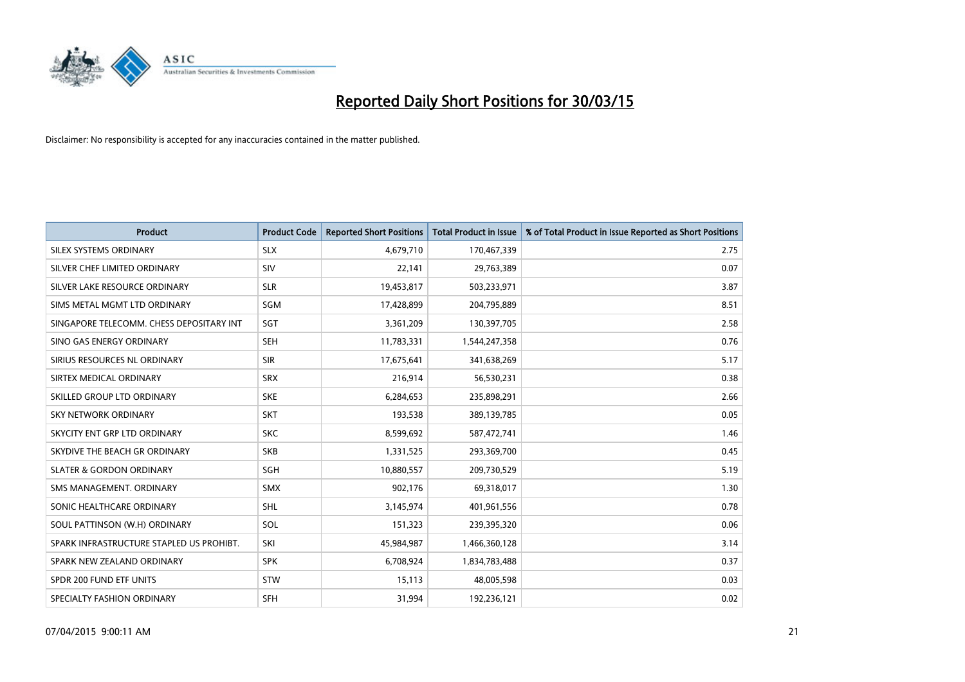

| <b>Product</b>                           | <b>Product Code</b> | <b>Reported Short Positions</b> | <b>Total Product in Issue</b> | % of Total Product in Issue Reported as Short Positions |
|------------------------------------------|---------------------|---------------------------------|-------------------------------|---------------------------------------------------------|
| SILEX SYSTEMS ORDINARY                   | <b>SLX</b>          | 4,679,710                       | 170,467,339                   | 2.75                                                    |
| SILVER CHEF LIMITED ORDINARY             | <b>SIV</b>          | 22,141                          | 29,763,389                    | 0.07                                                    |
| SILVER LAKE RESOURCE ORDINARY            | <b>SLR</b>          | 19,453,817                      | 503,233,971                   | 3.87                                                    |
| SIMS METAL MGMT LTD ORDINARY             | SGM                 | 17,428,899                      | 204,795,889                   | 8.51                                                    |
| SINGAPORE TELECOMM. CHESS DEPOSITARY INT | SGT                 | 3,361,209                       | 130,397,705                   | 2.58                                                    |
| SINO GAS ENERGY ORDINARY                 | <b>SEH</b>          | 11,783,331                      | 1,544,247,358                 | 0.76                                                    |
| SIRIUS RESOURCES NL ORDINARY             | <b>SIR</b>          | 17,675,641                      | 341,638,269                   | 5.17                                                    |
| SIRTEX MEDICAL ORDINARY                  | <b>SRX</b>          | 216,914                         | 56,530,231                    | 0.38                                                    |
| SKILLED GROUP LTD ORDINARY               | <b>SKE</b>          | 6,284,653                       | 235,898,291                   | 2.66                                                    |
| <b>SKY NETWORK ORDINARY</b>              | <b>SKT</b>          | 193,538                         | 389,139,785                   | 0.05                                                    |
| SKYCITY ENT GRP LTD ORDINARY             | <b>SKC</b>          | 8,599,692                       | 587,472,741                   | 1.46                                                    |
| SKYDIVE THE BEACH GR ORDINARY            | <b>SKB</b>          | 1,331,525                       | 293,369,700                   | 0.45                                                    |
| <b>SLATER &amp; GORDON ORDINARY</b>      | SGH                 | 10,880,557                      | 209,730,529                   | 5.19                                                    |
| SMS MANAGEMENT, ORDINARY                 | <b>SMX</b>          | 902,176                         | 69,318,017                    | 1.30                                                    |
| SONIC HEALTHCARE ORDINARY                | <b>SHL</b>          | 3,145,974                       | 401,961,556                   | 0.78                                                    |
| SOUL PATTINSON (W.H) ORDINARY            | SOL                 | 151,323                         | 239,395,320                   | 0.06                                                    |
| SPARK INFRASTRUCTURE STAPLED US PROHIBT. | SKI                 | 45,984,987                      | 1,466,360,128                 | 3.14                                                    |
| SPARK NEW ZEALAND ORDINARY               | <b>SPK</b>          | 6,708,924                       | 1,834,783,488                 | 0.37                                                    |
| SPDR 200 FUND ETF UNITS                  | <b>STW</b>          | 15,113                          | 48,005,598                    | 0.03                                                    |
| SPECIALTY FASHION ORDINARY               | <b>SFH</b>          | 31,994                          | 192,236,121                   | 0.02                                                    |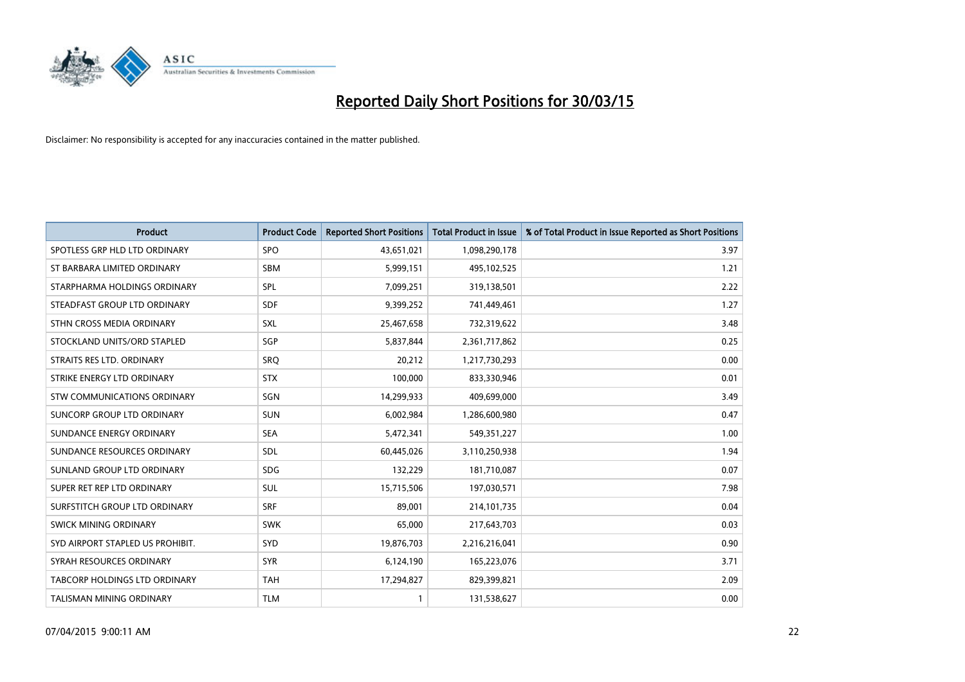

| <b>Product</b>                   | <b>Product Code</b> | <b>Reported Short Positions</b> | <b>Total Product in Issue</b> | % of Total Product in Issue Reported as Short Positions |
|----------------------------------|---------------------|---------------------------------|-------------------------------|---------------------------------------------------------|
| SPOTLESS GRP HLD LTD ORDINARY    | <b>SPO</b>          | 43,651,021                      | 1,098,290,178                 | 3.97                                                    |
| ST BARBARA LIMITED ORDINARY      | <b>SBM</b>          | 5,999,151                       | 495,102,525                   | 1.21                                                    |
| STARPHARMA HOLDINGS ORDINARY     | <b>SPL</b>          | 7,099,251                       | 319,138,501                   | 2.22                                                    |
| STEADFAST GROUP LTD ORDINARY     | <b>SDF</b>          | 9,399,252                       | 741,449,461                   | 1.27                                                    |
| STHN CROSS MEDIA ORDINARY        | SXL                 | 25,467,658                      | 732,319,622                   | 3.48                                                    |
| STOCKLAND UNITS/ORD STAPLED      | SGP                 | 5,837,844                       | 2,361,717,862                 | 0.25                                                    |
| STRAITS RES LTD. ORDINARY        | SRQ                 | 20,212                          | 1,217,730,293                 | 0.00                                                    |
| STRIKE ENERGY LTD ORDINARY       | <b>STX</b>          | 100,000                         | 833,330,946                   | 0.01                                                    |
| STW COMMUNICATIONS ORDINARY      | SGN                 | 14,299,933                      | 409,699,000                   | 3.49                                                    |
| SUNCORP GROUP LTD ORDINARY       | <b>SUN</b>          | 6,002,984                       | 1,286,600,980                 | 0.47                                                    |
| SUNDANCE ENERGY ORDINARY         | <b>SEA</b>          | 5,472,341                       | 549,351,227                   | 1.00                                                    |
| SUNDANCE RESOURCES ORDINARY      | <b>SDL</b>          | 60,445,026                      | 3,110,250,938                 | 1.94                                                    |
| SUNLAND GROUP LTD ORDINARY       | <b>SDG</b>          | 132,229                         | 181,710,087                   | 0.07                                                    |
| SUPER RET REP LTD ORDINARY       | SUL                 | 15,715,506                      | 197,030,571                   | 7.98                                                    |
| SURFSTITCH GROUP LTD ORDINARY    | <b>SRF</b>          | 89,001                          | 214,101,735                   | 0.04                                                    |
| SWICK MINING ORDINARY            | <b>SWK</b>          | 65,000                          | 217,643,703                   | 0.03                                                    |
| SYD AIRPORT STAPLED US PROHIBIT. | <b>SYD</b>          | 19,876,703                      | 2,216,216,041                 | 0.90                                                    |
| SYRAH RESOURCES ORDINARY         | <b>SYR</b>          | 6,124,190                       | 165,223,076                   | 3.71                                                    |
| TABCORP HOLDINGS LTD ORDINARY    | <b>TAH</b>          | 17,294,827                      | 829,399,821                   | 2.09                                                    |
| <b>TALISMAN MINING ORDINARY</b>  | <b>TLM</b>          | 1                               | 131,538,627                   | 0.00                                                    |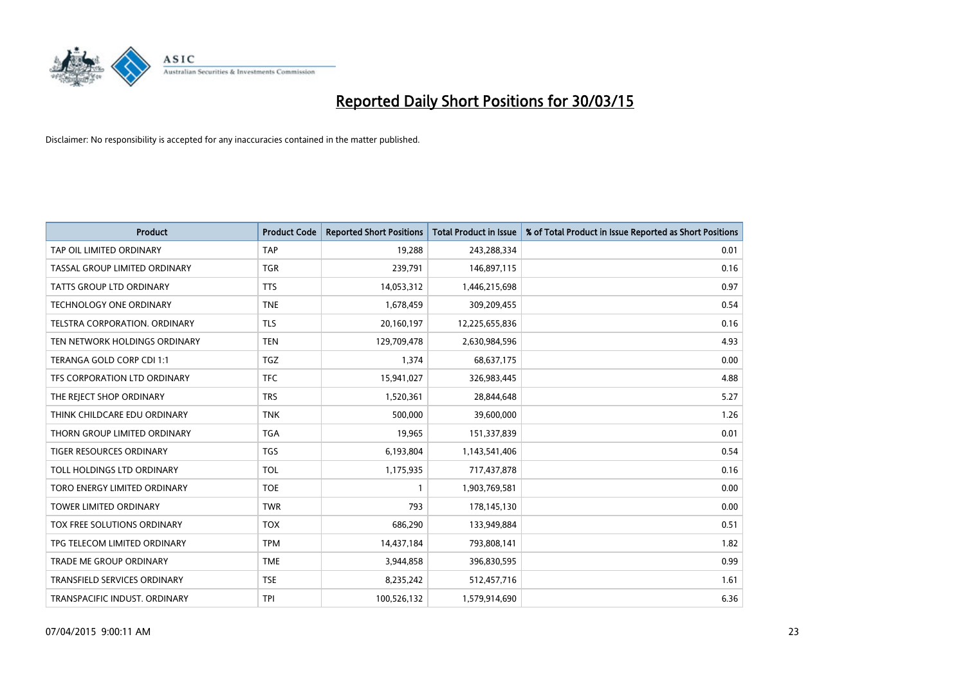

| <b>Product</b>                      | <b>Product Code</b> | <b>Reported Short Positions</b> | <b>Total Product in Issue</b> | % of Total Product in Issue Reported as Short Positions |
|-------------------------------------|---------------------|---------------------------------|-------------------------------|---------------------------------------------------------|
| TAP OIL LIMITED ORDINARY            | <b>TAP</b>          | 19,288                          | 243,288,334                   | 0.01                                                    |
| TASSAL GROUP LIMITED ORDINARY       | <b>TGR</b>          | 239,791                         | 146,897,115                   | 0.16                                                    |
| <b>TATTS GROUP LTD ORDINARY</b>     | <b>TTS</b>          | 14,053,312                      | 1,446,215,698                 | 0.97                                                    |
| <b>TECHNOLOGY ONE ORDINARY</b>      | <b>TNE</b>          | 1,678,459                       | 309,209,455                   | 0.54                                                    |
| TELSTRA CORPORATION, ORDINARY       | <b>TLS</b>          | 20,160,197                      | 12,225,655,836                | 0.16                                                    |
| TEN NETWORK HOLDINGS ORDINARY       | <b>TEN</b>          | 129,709,478                     | 2,630,984,596                 | 4.93                                                    |
| TERANGA GOLD CORP CDI 1:1           | <b>TGZ</b>          | 1,374                           | 68,637,175                    | 0.00                                                    |
| TFS CORPORATION LTD ORDINARY        | <b>TFC</b>          | 15,941,027                      | 326,983,445                   | 4.88                                                    |
| THE REJECT SHOP ORDINARY            | <b>TRS</b>          | 1,520,361                       | 28,844,648                    | 5.27                                                    |
| THINK CHILDCARE EDU ORDINARY        | <b>TNK</b>          | 500,000                         | 39,600,000                    | 1.26                                                    |
| THORN GROUP LIMITED ORDINARY        | <b>TGA</b>          | 19,965                          | 151,337,839                   | 0.01                                                    |
| <b>TIGER RESOURCES ORDINARY</b>     | <b>TGS</b>          | 6,193,804                       | 1,143,541,406                 | 0.54                                                    |
| TOLL HOLDINGS LTD ORDINARY          | <b>TOL</b>          | 1,175,935                       | 717,437,878                   | 0.16                                                    |
| TORO ENERGY LIMITED ORDINARY        | <b>TOE</b>          | $\mathbf{1}$                    | 1,903,769,581                 | 0.00                                                    |
| TOWER LIMITED ORDINARY              | <b>TWR</b>          | 793                             | 178,145,130                   | 0.00                                                    |
| TOX FREE SOLUTIONS ORDINARY         | <b>TOX</b>          | 686,290                         | 133,949,884                   | 0.51                                                    |
| TPG TELECOM LIMITED ORDINARY        | <b>TPM</b>          | 14,437,184                      | 793,808,141                   | 1.82                                                    |
| <b>TRADE ME GROUP ORDINARY</b>      | <b>TME</b>          | 3,944,858                       | 396,830,595                   | 0.99                                                    |
| <b>TRANSFIELD SERVICES ORDINARY</b> | <b>TSE</b>          | 8,235,242                       | 512,457,716                   | 1.61                                                    |
| TRANSPACIFIC INDUST. ORDINARY       | TPI                 | 100,526,132                     | 1,579,914,690                 | 6.36                                                    |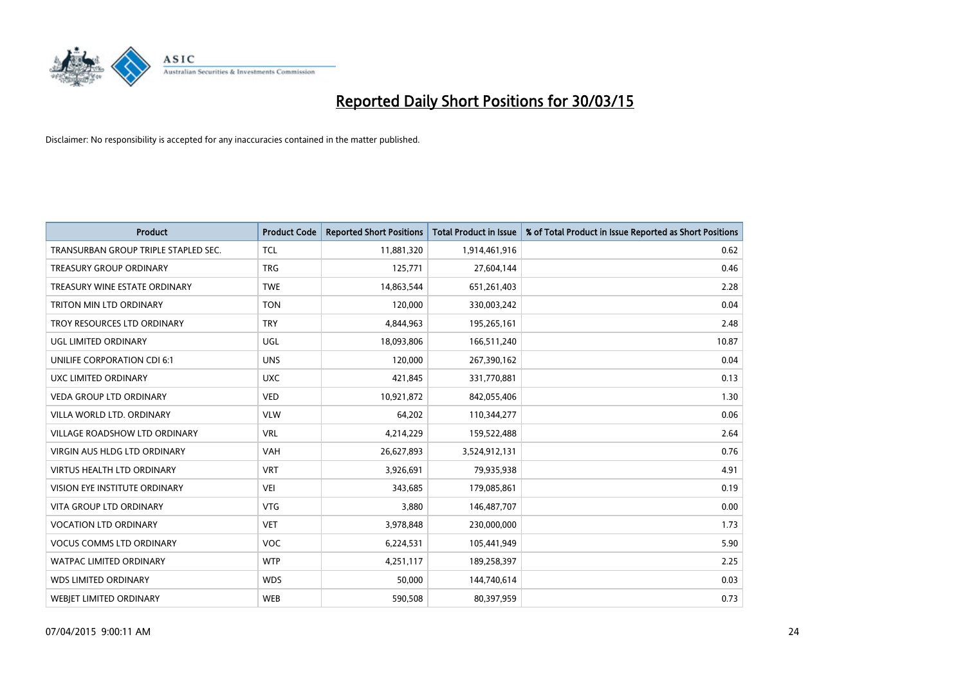

| <b>Product</b>                       | <b>Product Code</b> | <b>Reported Short Positions</b> | <b>Total Product in Issue</b> | % of Total Product in Issue Reported as Short Positions |
|--------------------------------------|---------------------|---------------------------------|-------------------------------|---------------------------------------------------------|
| TRANSURBAN GROUP TRIPLE STAPLED SEC. | <b>TCL</b>          | 11,881,320                      | 1,914,461,916                 | 0.62                                                    |
| TREASURY GROUP ORDINARY              | <b>TRG</b>          | 125,771                         | 27,604,144                    | 0.46                                                    |
| TREASURY WINE ESTATE ORDINARY        | <b>TWE</b>          | 14,863,544                      | 651,261,403                   | 2.28                                                    |
| TRITON MIN LTD ORDINARY              | <b>TON</b>          | 120,000                         | 330,003,242                   | 0.04                                                    |
| TROY RESOURCES LTD ORDINARY          | <b>TRY</b>          | 4,844,963                       | 195,265,161                   | 2.48                                                    |
| <b>UGL LIMITED ORDINARY</b>          | UGL                 | 18,093,806                      | 166,511,240                   | 10.87                                                   |
| UNILIFE CORPORATION CDI 6:1          | <b>UNS</b>          | 120,000                         | 267,390,162                   | 0.04                                                    |
| UXC LIMITED ORDINARY                 | <b>UXC</b>          | 421,845                         | 331,770,881                   | 0.13                                                    |
| <b>VEDA GROUP LTD ORDINARY</b>       | <b>VED</b>          | 10,921,872                      | 842,055,406                   | 1.30                                                    |
| VILLA WORLD LTD, ORDINARY            | <b>VLW</b>          | 64,202                          | 110,344,277                   | 0.06                                                    |
| VILLAGE ROADSHOW LTD ORDINARY        | <b>VRL</b>          | 4,214,229                       | 159,522,488                   | 2.64                                                    |
| <b>VIRGIN AUS HLDG LTD ORDINARY</b>  | <b>VAH</b>          | 26,627,893                      | 3,524,912,131                 | 0.76                                                    |
| <b>VIRTUS HEALTH LTD ORDINARY</b>    | <b>VRT</b>          | 3,926,691                       | 79,935,938                    | 4.91                                                    |
| VISION EYE INSTITUTE ORDINARY        | <b>VEI</b>          | 343,685                         | 179,085,861                   | 0.19                                                    |
| <b>VITA GROUP LTD ORDINARY</b>       | <b>VTG</b>          | 3,880                           | 146,487,707                   | 0.00                                                    |
| <b>VOCATION LTD ORDINARY</b>         | <b>VET</b>          | 3,978,848                       | 230,000,000                   | 1.73                                                    |
| <b>VOCUS COMMS LTD ORDINARY</b>      | <b>VOC</b>          | 6,224,531                       | 105,441,949                   | 5.90                                                    |
| WATPAC LIMITED ORDINARY              | <b>WTP</b>          | 4,251,117                       | 189,258,397                   | 2.25                                                    |
| <b>WDS LIMITED ORDINARY</b>          | <b>WDS</b>          | 50,000                          | 144,740,614                   | 0.03                                                    |
| WEBJET LIMITED ORDINARY              | <b>WEB</b>          | 590,508                         | 80,397,959                    | 0.73                                                    |